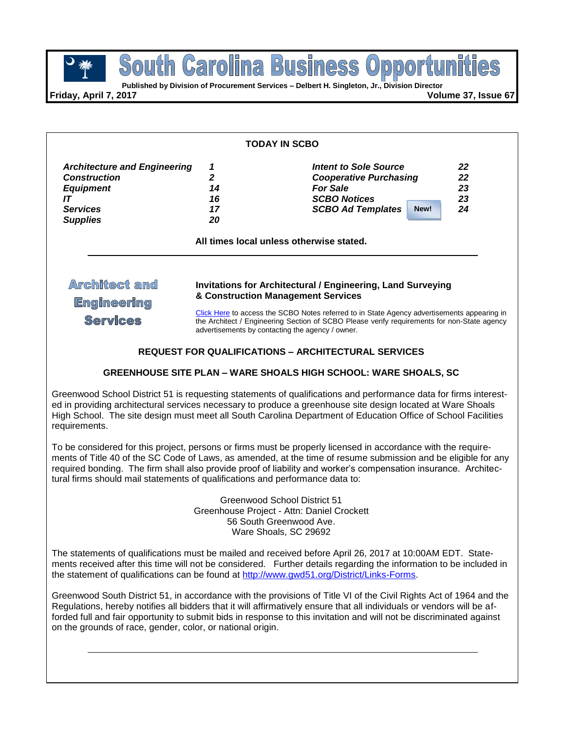South Carolina Business **POUTH GRYOHING BUSINGSS OPPOPTH**<br> **Published by Division of Procurement Services – Delbert H. Singleton, Jr., Division Director** 

**Friday, April 7, 2017 Volume 37, Issue 67**

| TODAY IN SCBO                                                                                                              |                                |                                                                                                                                                                                                                                                                                                                                                                                                                          |  |  |
|----------------------------------------------------------------------------------------------------------------------------|--------------------------------|--------------------------------------------------------------------------------------------------------------------------------------------------------------------------------------------------------------------------------------------------------------------------------------------------------------------------------------------------------------------------------------------------------------------------|--|--|
| <b>Architecture and Engineering</b><br><b>Construction</b><br><b>Equipment</b><br>IT<br><b>Services</b><br><b>Supplies</b> | 1<br>2<br>14<br>16<br>17<br>20 | Intent to Sole Source<br>22<br>22<br><b>Cooperative Purchasing</b><br><b>For Sale</b><br>23<br><b>SCBO Notices</b><br>23<br>24<br><b>SCBO Ad Templates</b><br>New!<br>All times local unless otherwise stated.                                                                                                                                                                                                           |  |  |
| <b>Architect and</b><br><b>Engineering</b><br><b>Services</b>                                                              |                                | <b>Invitations for Architectural / Engineering, Land Surveying</b><br>& Construction Management Services<br>Click Here to access the SCBO Notes referred to in State Agency advertisements appearing in<br>the Architect / Engineering Section of SCBO Please verify requirements for non-State agency<br>advertisements by contacting the agency / owner.<br><b>REQUEST FOR QUALIFICATIONS - ARCHITECTURAL SERVICES</b> |  |  |

# **GREENHOUSE SITE PLAN – WARE SHOALS HIGH SCHOOL: WARE SHOALS, SC**

Greenwood School District 51 is requesting statements of qualifications and performance data for firms interested in providing architectural services necessary to produce a greenhouse site design located at Ware Shoals High School. The site design must meet all South Carolina Department of Education Office of School Facilities requirements.

To be considered for this project, persons or firms must be properly licensed in accordance with the requirements of Title 40 of the SC Code of Laws, as amended, at the time of resume submission and be eligible for any required bonding. The firm shall also provide proof of liability and worker's compensation insurance. Architectural firms should mail statements of qualifications and performance data to:

> Greenwood School District 51 Greenhouse Project - Attn: Daniel Crockett 56 South Greenwood Ave. Ware Shoals, SC 29692

The statements of qualifications must be mailed and received before April 26, 2017 at 10:00AM EDT. Statements received after this time will not be considered. Further details regarding the information to be included in the statement of qualifications can be found at [http://www.gwd51.org/District/Links-Forms.](http://www.gwd51.org/District/Links-Forms)

Greenwood South District 51, in accordance with the provisions of Title VI of the Civil Rights Act of 1964 and the Regulations, hereby notifies all bidders that it will affirmatively ensure that all individuals or vendors will be afforded full and fair opportunity to submit bids in response to this invitation and will not be discriminated against on the grounds of race, gender, color, or national origin.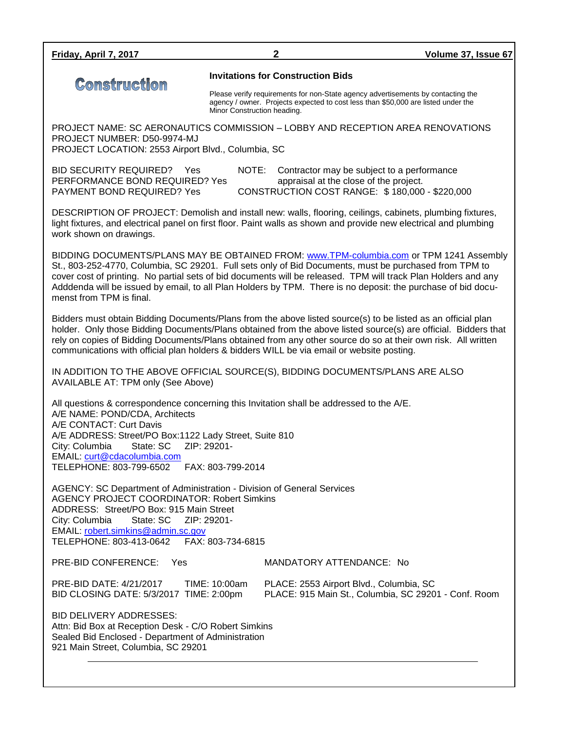| 2                                                                                                                                                                                                                                                                                                                                                                                                                                                              | Volume 37, Issue 67                                                                                                                                                                                                                                                                                                                                                                                                                                                                                             |  |  |  |
|----------------------------------------------------------------------------------------------------------------------------------------------------------------------------------------------------------------------------------------------------------------------------------------------------------------------------------------------------------------------------------------------------------------------------------------------------------------|-----------------------------------------------------------------------------------------------------------------------------------------------------------------------------------------------------------------------------------------------------------------------------------------------------------------------------------------------------------------------------------------------------------------------------------------------------------------------------------------------------------------|--|--|--|
| Minor Construction heading.                                                                                                                                                                                                                                                                                                                                                                                                                                    |                                                                                                                                                                                                                                                                                                                                                                                                                                                                                                                 |  |  |  |
|                                                                                                                                                                                                                                                                                                                                                                                                                                                                | PROJECT NAME: SC AERONAUTICS COMMISSION - LOBBY AND RECEPTION AREA RENOVATIONS                                                                                                                                                                                                                                                                                                                                                                                                                                  |  |  |  |
| NOTE:                                                                                                                                                                                                                                                                                                                                                                                                                                                          | Contractor may be subject to a performance<br>appraisal at the close of the project.<br>CONSTRUCTION COST RANGE: \$180,000 - \$220,000                                                                                                                                                                                                                                                                                                                                                                          |  |  |  |
| DESCRIPTION OF PROJECT: Demolish and install new: walls, flooring, ceilings, cabinets, plumbing fixtures,<br>light fixtures, and electrical panel on first floor. Paint walls as shown and provide new electrical and plumbing<br>work shown on drawings.                                                                                                                                                                                                      |                                                                                                                                                                                                                                                                                                                                                                                                                                                                                                                 |  |  |  |
| BIDDING DOCUMENTS/PLANS MAY BE OBTAINED FROM: www.TPM-columbia.com or TPM 1241 Assembly<br>St., 803-252-4770, Columbia, SC 29201. Full sets only of Bid Documents, must be purchased from TPM to<br>cover cost of printing. No partial sets of bid documents will be released. TPM will track Plan Holders and any<br>Adddenda will be issued by email, to all Plan Holders by TPM. There is no deposit: the purchase of bid docu-<br>menst from TPM is final. |                                                                                                                                                                                                                                                                                                                                                                                                                                                                                                                 |  |  |  |
| Bidders must obtain Bidding Documents/Plans from the above listed source(s) to be listed as an official plan<br>holder. Only those Bidding Documents/Plans obtained from the above listed source(s) are official. Bidders that<br>rely on copies of Bidding Documents/Plans obtained from any other source do so at their own risk. All written<br>communications with official plan holders & bidders WILL be via email or website posting.                   |                                                                                                                                                                                                                                                                                                                                                                                                                                                                                                                 |  |  |  |
| IN ADDITION TO THE ABOVE OFFICIAL SOURCE(S), BIDDING DOCUMENTS/PLANS ARE ALSO<br>AVAILABLE AT: TPM only (See Above)                                                                                                                                                                                                                                                                                                                                            |                                                                                                                                                                                                                                                                                                                                                                                                                                                                                                                 |  |  |  |
| All questions & correspondence concerning this Invitation shall be addressed to the A/E.<br>A/E NAME: POND/CDA, Architects<br>A/E CONTACT: Curt Davis<br>A/E ADDRESS: Street/PO Box:1122 Lady Street, Suite 810<br>ZIP: 29201-<br>City: Columbia<br>State: SC<br>EMAIL: curt@cdacolumbia.com<br>TELEPHONE: 803-799-6502<br>FAX: 803-799-2014                                                                                                                   |                                                                                                                                                                                                                                                                                                                                                                                                                                                                                                                 |  |  |  |
| AGENCY: SC Department of Administration - Division of General Services<br><b>AGENCY PROJECT COORDINATOR: Robert Simkins</b><br>ADDRESS: Street/PO Box: 915 Main Street<br>State: SC<br>ZIP: 29201-<br>City: Columbia<br>EMAIL: robert.simkins@admin.sc.gov<br>TELEPHONE: 803-413-0642<br>FAX: 803-734-6815                                                                                                                                                     |                                                                                                                                                                                                                                                                                                                                                                                                                                                                                                                 |  |  |  |
|                                                                                                                                                                                                                                                                                                                                                                                                                                                                |                                                                                                                                                                                                                                                                                                                                                                                                                                                                                                                 |  |  |  |
|                                                                                                                                                                                                                                                                                                                                                                                                                                                                | PLACE: 2553 Airport Blvd., Columbia, SC<br>PLACE: 915 Main St., Columbia, SC 29201 - Conf. Room                                                                                                                                                                                                                                                                                                                                                                                                                 |  |  |  |
|                                                                                                                                                                                                                                                                                                                                                                                                                                                                |                                                                                                                                                                                                                                                                                                                                                                                                                                                                                                                 |  |  |  |
| 921 Main Street, Columbia, SC 29201                                                                                                                                                                                                                                                                                                                                                                                                                            | <b>Invitations for Construction Bids</b><br>Please verify requirements for non-State agency advertisements by contacting the<br>agency / owner. Projects expected to cost less than \$50,000 are listed under the<br>PROJECT LOCATION: 2553 Airport Blvd., Columbia, SC<br>PERFORMANCE BOND REQUIRED? Yes<br>MANDATORY ATTENDANCE: No<br>TIME: 10:00am<br>BID CLOSING DATE: 5/3/2017 TIME: 2:00pm<br>Attn: Bid Box at Reception Desk - C/O Robert Simkins<br>Sealed Bid Enclosed - Department of Administration |  |  |  |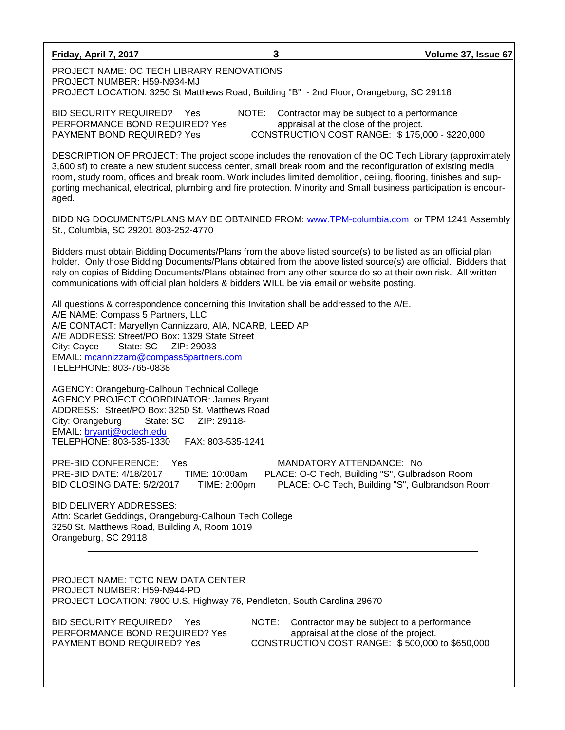| <b>Friday, April 7, 2017</b>                                                                                                                                                                                                                                                                                                                                                                                                                 | 3                                | Volume 37, Issue 67                                                                                                                     |
|----------------------------------------------------------------------------------------------------------------------------------------------------------------------------------------------------------------------------------------------------------------------------------------------------------------------------------------------------------------------------------------------------------------------------------------------|----------------------------------|-----------------------------------------------------------------------------------------------------------------------------------------|
| PROJECT NAME: OC TECH LIBRARY RENOVATIONS<br>PROJECT NUMBER: H59-N934-MJ<br>PROJECT LOCATION: 3250 St Matthews Road, Building "B" - 2nd Floor, Orangeburg, SC 29118                                                                                                                                                                                                                                                                          |                                  |                                                                                                                                         |
| <b>BID SECURITY REQUIRED?</b><br>Yes<br>PERFORMANCE BOND REQUIRED? Yes<br>PAYMENT BOND REQUIRED? Yes                                                                                                                                                                                                                                                                                                                                         | NOTE:                            | Contractor may be subject to a performance<br>appraisal at the close of the project.<br>CONSTRUCTION COST RANGE: \$175,000 - \$220,000  |
| 3,600 sf) to create a new student success center, small break room and the reconfiguration of existing media<br>room, study room, offices and break room. Work includes limited demolition, ceiling, flooring, finishes and sup-<br>porting mechanical, electrical, plumbing and fire protection. Minority and Small business participation is encour-<br>aged.                                                                              |                                  | DESCRIPTION OF PROJECT: The project scope includes the renovation of the OC Tech Library (approximately                                 |
| BIDDING DOCUMENTS/PLANS MAY BE OBTAINED FROM: www.TPM-columbia.com or TPM 1241 Assembly<br>St., Columbia, SC 29201 803-252-4770                                                                                                                                                                                                                                                                                                              |                                  |                                                                                                                                         |
| Bidders must obtain Bidding Documents/Plans from the above listed source(s) to be listed as an official plan<br>holder. Only those Bidding Documents/Plans obtained from the above listed source(s) are official. Bidders that<br>rely on copies of Bidding Documents/Plans obtained from any other source do so at their own risk. All written<br>communications with official plan holders & bidders WILL be via email or website posting. |                                  |                                                                                                                                         |
| All questions & correspondence concerning this Invitation shall be addressed to the A/E.<br>A/E NAME: Compass 5 Partners, LLC<br>A/E CONTACT: Maryellyn Cannizzaro, AIA, NCARB, LEED AP<br>A/E ADDRESS: Street/PO Box: 1329 State Street<br>ZIP: 29033-<br>City: Cayce<br>State: SC<br>EMAIL: mcannizzaro@compass5partners.com<br>TELEPHONE: 803-765-0838                                                                                    |                                  |                                                                                                                                         |
| AGENCY: Orangeburg-Calhoun Technical College<br><b>AGENCY PROJECT COORDINATOR: James Bryant</b><br>ADDRESS: Street/PO Box: 3250 St. Matthews Road<br>City: Orangeburg<br>State: SC<br>EMAIL: bryantj@octech.edu<br>TELEPHONE: 803-535-1330                                                                                                                                                                                                   | ZIP: 29118-<br>FAX: 803-535-1241 |                                                                                                                                         |
| PRE-BID CONFERENCE: Yes<br>PRE-BID DATE: 4/18/2017<br>TIME: 10:00am<br>BID CLOSING DATE: 5/2/2017                                                                                                                                                                                                                                                                                                                                            | TIME: 2:00pm                     | MANDATORY ATTENDANCE: No<br>PLACE: O-C Tech, Building "S", Gulbradson Room<br>PLACE: O-C Tech, Building "S", Gulbrandson Room           |
| <b>BID DELIVERY ADDRESSES:</b><br>Attn: Scarlet Geddings, Orangeburg-Calhoun Tech College<br>3250 St. Matthews Road, Building A, Room 1019<br>Orangeburg, SC 29118                                                                                                                                                                                                                                                                           |                                  |                                                                                                                                         |
| PROJECT NAME: TCTC NEW DATA CENTER<br>PROJECT NUMBER: H59-N944-PD<br>PROJECT LOCATION: 7900 U.S. Highway 76, Pendleton, South Carolina 29670                                                                                                                                                                                                                                                                                                 |                                  |                                                                                                                                         |
| <b>BID SECURITY REQUIRED?</b><br>Yes<br>PERFORMANCE BOND REQUIRED? Yes<br>PAYMENT BOND REQUIRED? Yes                                                                                                                                                                                                                                                                                                                                         | NOTE:                            | Contractor may be subject to a performance<br>appraisal at the close of the project.<br>CONSTRUCTION COST RANGE: \$500,000 to \$650,000 |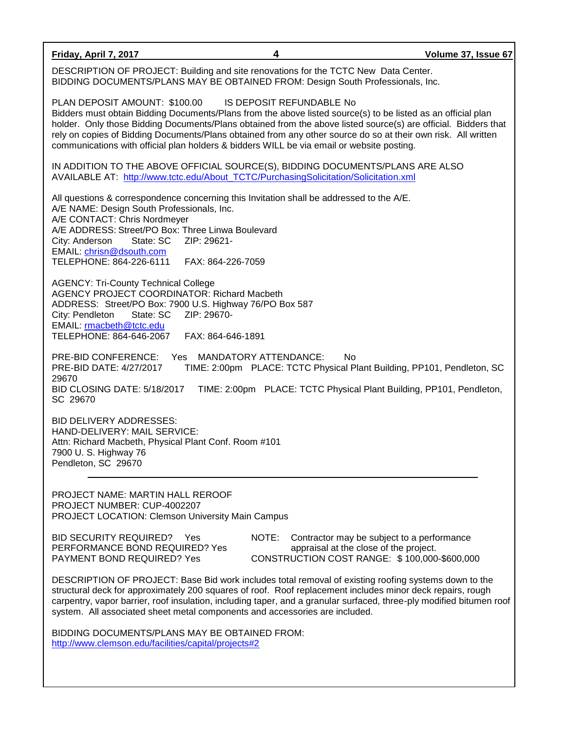**Friday, April 7, 2017 4 Volume 37, Issue 67** DESCRIPTION OF PROJECT: Building and site renovations for the TCTC New Data Center. BIDDING DOCUMENTS/PLANS MAY BE OBTAINED FROM: Design South Professionals, Inc. PLAN DEPOSIT AMOUNT: \$100.00 IS DEPOSIT REFUNDABLE No Bidders must obtain Bidding Documents/Plans from the above listed source(s) to be listed as an official plan holder. Only those Bidding Documents/Plans obtained from the above listed source(s) are official. Bidders that rely on copies of Bidding Documents/Plans obtained from any other source do so at their own risk. All written communications with official plan holders & bidders WILL be via email or website posting. IN ADDITION TO THE ABOVE OFFICIAL SOURCE(S), BIDDING DOCUMENTS/PLANS ARE ALSO AVAILABLE AT: [http://www.tctc.edu/About\\_TCTC/PurchasingSolicitation/Solicitation.xml](http://www.tctc.edu/About_TCTC/PurchasingSolicitation/Solicitation.xml) All questions & correspondence concerning this Invitation shall be addressed to the A/E. A/E NAME: Design South Professionals, Inc. A/E CONTACT: Chris Nordmeyer A/E ADDRESS: Street/PO Box: Three Linwa Boulevard City: Anderson State: SC ZIP: 29621- EMAIL: [chrisn@dsouth.com](mailto:chrisn@dsouth.com) TELEPHONE: 864-226-6111 FAX: 864-226-7059 AGENCY: Tri-County Technical College AGENCY PROJECT COORDINATOR: Richard Macbeth ADDRESS: Street/PO Box: 7900 U.S. Highway 76/PO Box 587 City: Pendleton State: SC ZIP: 29670- EMAIL: [rmacbeth@tctc.edu](mailto:rmacbeth@tctc.edu) TELEPHONE: 864-646-2067 FAX: 864-646-1891 PRE-BID CONFERENCE: Yes MANDATORY ATTENDANCE: No PRE-BID DATE: 4/27/2017 TIME: 2:00pm PLACE: TCTC Physical Plant Building, PP101, Pendleton, SC 29670 BID CLOSING DATE: 5/18/2017 TIME: 2:00pm PLACE: TCTC Physical Plant Building, PP101, Pendleton, SC 29670 BID DELIVERY ADDRESSES: HAND-DELIVERY: MAIL SERVICE: Attn: Richard Macbeth, Physical Plant Conf. Room #101 7900 U. S. Highway 76 Pendleton, SC 29670 PROJECT NAME: MARTIN HALL REROOF PROJECT NUMBER: CUP-4002207 PROJECT LOCATION: Clemson University Main Campus BID SECURITY REQUIRED? Yes NOTE: Contractor may be subject to a performance PERFORMANCE BOND REQUIRED? Yes appraisal at the close of the project. PAYMENT BOND REQUIRED? Yes CONSTRUCTION COST RANGE: \$100,000-\$600,000 DESCRIPTION OF PROJECT: Base Bid work includes total removal of existing roofing systems down to the structural deck for approximately 200 squares of roof. Roof replacement includes minor deck repairs, rough carpentry, vapor barrier, roof insulation, including taper, and a granular surfaced, three-ply modified bitumen roof

BIDDING DOCUMENTS/PLANS MAY BE OBTAINED FROM: <http://www.clemson.edu/facilities/capital/projects#2>

system. All associated sheet metal components and accessories are included.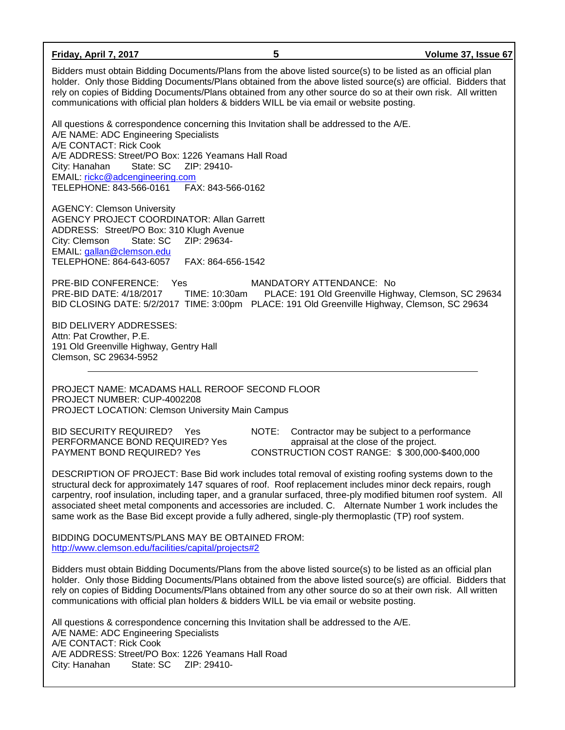| Friday, April 7, 2017                                                                                                                                                                                                                                                                                                                                                                                                                                                                                                                                      | 5                                                                                               | Volume 37, Issue 67                                  |  |  |
|------------------------------------------------------------------------------------------------------------------------------------------------------------------------------------------------------------------------------------------------------------------------------------------------------------------------------------------------------------------------------------------------------------------------------------------------------------------------------------------------------------------------------------------------------------|-------------------------------------------------------------------------------------------------|------------------------------------------------------|--|--|
| Bidders must obtain Bidding Documents/Plans from the above listed source(s) to be listed as an official plan<br>holder. Only those Bidding Documents/Plans obtained from the above listed source(s) are official. Bidders that<br>rely on copies of Bidding Documents/Plans obtained from any other source do so at their own risk. All written<br>communications with official plan holders & bidders WILL be via email or website posting.                                                                                                               |                                                                                                 |                                                      |  |  |
| All questions & correspondence concerning this Invitation shall be addressed to the A/E.<br>A/E NAME: ADC Engineering Specialists<br>A/E CONTACT: Rick Cook<br>A/E ADDRESS: Street/PO Box: 1226 Yeamans Hall Road<br>ZIP: 29410-<br>State: SC<br>City: Hanahan<br>EMAIL: rickc@adcengineering.com<br>TELEPHONE: 843-566-0161<br>FAX: 843-566-0162                                                                                                                                                                                                          |                                                                                                 |                                                      |  |  |
| <b>AGENCY: Clemson University</b><br><b>AGENCY PROJECT COORDINATOR: Allan Garrett</b><br>ADDRESS: Street/PO Box: 310 Klugh Avenue<br>City: Clemson<br>State: SC<br>ZIP: 29634-<br>EMAIL: gallan@clemson.edu<br>TELEPHONE: 864-643-6057<br>FAX: 864-656-1542                                                                                                                                                                                                                                                                                                |                                                                                                 |                                                      |  |  |
| PRE-BID CONFERENCE:<br>Yes<br>PRE-BID DATE: 4/18/2017<br>TIME: 10:30am<br>BID CLOSING DATE: 5/2/2017 TIME: 3:00pm PLACE: 191 Old Greenville Highway, Clemson, SC 29634                                                                                                                                                                                                                                                                                                                                                                                     | MANDATORY ATTENDANCE: No                                                                        | PLACE: 191 Old Greenville Highway, Clemson, SC 29634 |  |  |
| <b>BID DELIVERY ADDRESSES:</b><br>Attn: Pat Crowther, P.E.<br>191 Old Greenville Highway, Gentry Hall<br>Clemson, SC 29634-5952                                                                                                                                                                                                                                                                                                                                                                                                                            |                                                                                                 |                                                      |  |  |
| PROJECT NAME: MCADAMS HALL REROOF SECOND FLOOR<br>PROJECT NUMBER: CUP-4002208<br>PROJECT LOCATION: Clemson University Main Campus                                                                                                                                                                                                                                                                                                                                                                                                                          |                                                                                                 |                                                      |  |  |
| <b>BID SECURITY REQUIRED?</b><br>Yes<br>PERFORMANCE BOND REQUIRED? Yes<br>PAYMENT BOND REQUIRED? Yes                                                                                                                                                                                                                                                                                                                                                                                                                                                       | NOTE:<br>appraisal at the close of the project.<br>CONSTRUCTION COST RANGE: \$300,000-\$400,000 | Contractor may be subject to a performance           |  |  |
| DESCRIPTION OF PROJECT: Base Bid work includes total removal of existing roofing systems down to the<br>structural deck for approximately 147 squares of roof. Roof replacement includes minor deck repairs, rough<br>carpentry, roof insulation, including taper, and a granular surfaced, three-ply modified bitumen roof system. All<br>associated sheet metal components and accessories are included. C. Alternate Number 1 work includes the<br>same work as the Base Bid except provide a fully adhered, single-ply thermoplastic (TP) roof system. |                                                                                                 |                                                      |  |  |
| BIDDING DOCUMENTS/PLANS MAY BE OBTAINED FROM:<br>http://www.clemson.edu/facilities/capital/projects#2                                                                                                                                                                                                                                                                                                                                                                                                                                                      |                                                                                                 |                                                      |  |  |
| Bidders must obtain Bidding Documents/Plans from the above listed source(s) to be listed as an official plan<br>holder. Only those Bidding Documents/Plans obtained from the above listed source(s) are official. Bidders that<br>rely on copies of Bidding Documents/Plans obtained from any other source do so at their own risk. All written<br>communications with official plan holders & bidders WILL be via email or website posting.                                                                                                               |                                                                                                 |                                                      |  |  |
| All questions & correspondence concerning this Invitation shall be addressed to the A/E.<br>A/E NAME: ADC Engineering Specialists<br>A/E CONTACT: Rick Cook<br>A/E ADDRESS: Street/PO Box: 1226 Yeamans Hall Road<br>State: SC<br>ZIP: 29410-<br>City: Hanahan                                                                                                                                                                                                                                                                                             |                                                                                                 |                                                      |  |  |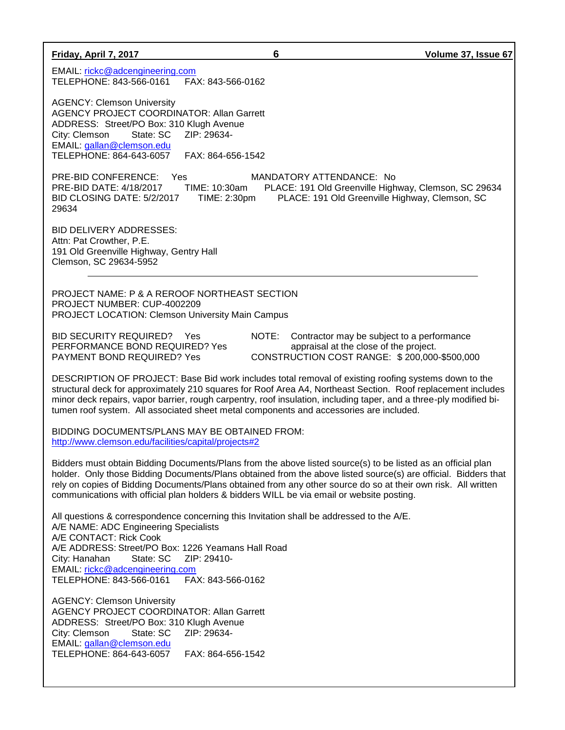| Volume 37, Issue 67 |  |
|---------------------|--|
|---------------------|--|

**Friday, April 7, 2017 6** 

EMAIL: [rickc@adcengineering.com](mailto:rickc@adcengineering.com) TELEPHONE: 843-566-0161 FAX: 843-566-0162

AGENCY: Clemson University AGENCY PROJECT COORDINATOR: Allan Garrett ADDRESS: Street/PO Box: 310 Klugh Avenue City: Clemson State: SC ZIP: 29634- EMAIL: [gallan@clemson.edu](mailto:gallan@clemson.edu) TELEPHONE: 864-643-6057 FAX: 864-656-1542

PRE-BID CONFERENCE: Yes MANDATORY ATTENDANCE: No PRE-BID DATE: 4/18/2017 TIME: 10:30am PLACE: 191 Old Greenville Highway, Clemson, SC 29634 BID CLOSING DATE: 5/2/2017 TIME: 2:30pm PLACE: 191 Old Greenville Highway, Clemson, SC 29634

BID DELIVERY ADDRESSES: Attn: Pat Crowther, P.E. 191 Old Greenville Highway, Gentry Hall Clemson, SC 29634-5952

PROJECT NAME: P & A REROOF NORTHEAST SECTION PROJECT NUMBER: CUP-4002209 PROJECT LOCATION: Clemson University Main Campus

BID SECURITY REQUIRED? Yes NOTE: Contractor may be subject to a performance PERFORMANCE BOND REQUIRED? Yes appraisal at the close of the project. PAYMENT BOND REQUIRED? Yes CONSTRUCTION COST RANGE: \$ 200,000-\$500,000

DESCRIPTION OF PROJECT: Base Bid work includes total removal of existing roofing systems down to the structural deck for approximately 210 squares for Roof Area A4, Northeast Section. Roof replacement includes minor deck repairs, vapor barrier, rough carpentry, roof insulation, including taper, and a three-ply modified bitumen roof system. All associated sheet metal components and accessories are included.

BIDDING DOCUMENTS/PLANS MAY BE OBTAINED FROM: <http://www.clemson.edu/facilities/capital/projects#2>

Bidders must obtain Bidding Documents/Plans from the above listed source(s) to be listed as an official plan holder. Only those Bidding Documents/Plans obtained from the above listed source(s) are official. Bidders that rely on copies of Bidding Documents/Plans obtained from any other source do so at their own risk. All written communications with official plan holders & bidders WILL be via email or website posting.

All questions & correspondence concerning this Invitation shall be addressed to the A/E. A/E NAME: ADC Engineering Specialists A/E CONTACT: Rick Cook A/E ADDRESS: Street/PO Box: 1226 Yeamans Hall Road City: Hanahan State: SC ZIP: 29410- EMAIL: [rickc@adcengineering.com](mailto:rickc@adcengineering.com) TELEPHONE: 843-566-0161 FAX: 843-566-0162

AGENCY: Clemson University AGENCY PROJECT COORDINATOR: Allan Garrett ADDRESS: Street/PO Box: 310 Klugh Avenue City: Clemson State: SC ZIP: 29634- EMAIL: [gallan@clemson.edu](mailto:gallan@clemson.edu) TELEPHONE: 864-643-6057 FAX: 864-656-1542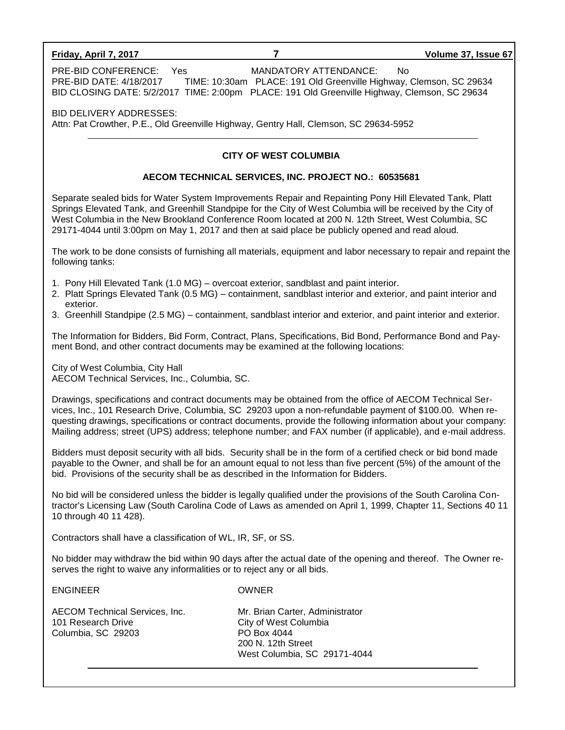#### **Friday, April 7, 2017 7 Volume 37, Issue 67**

PRE-BID CONFERENCE: Yes MANDATORY ATTENDANCE: No PRE-BID DATE: 4/18/2017 TIME: 10:30am PLACE: 191 Old Greenville Highway, Clemson, SC 29634 BID CLOSING DATE: 5/2/2017 TIME: 2:00pm PLACE: 191 Old Greenville Highway, Clemson, SC 29634

BID DELIVERY ADDRESSES: Attn: Pat Crowther, P.E., Old Greenville Highway, Gentry Hall, Clemson, SC 29634-5952

## **CITY OF WEST COLUMBIA**

## **AECOM TECHNICAL SERVICES, INC. PROJECT NO.: 60535681**

Separate sealed bids for Water System Improvements Repair and Repainting Pony Hill Elevated Tank, Platt Springs Elevated Tank, and Greenhill Standpipe for the City of West Columbia will be received by the City of West Columbia in the New Brookland Conference Room located at 200 N. 12th Street, West Columbia, SC 29171-4044 until 3:00pm on May 1, 2017 and then at said place be publicly opened and read aloud.

The work to be done consists of furnishing all materials, equipment and labor necessary to repair and repaint the following tanks:

- 1. Pony Hill Elevated Tank (1.0 MG) overcoat exterior, sandblast and paint interior.
- 2. Platt Springs Elevated Tank (0.5 MG) containment, sandblast interior and exterior, and paint interior and exterior.
- 3. Greenhill Standpipe (2.5 MG) containment, sandblast interior and exterior, and paint interior and exterior.

The Information for Bidders, Bid Form, Contract, Plans, Specifications, Bid Bond, Performance Bond and Payment Bond, and other contract documents may be examined at the following locations:

City of West Columbia, City Hall AECOM Technical Services, Inc., Columbia, SC.

Drawings, specifications and contract documents may be obtained from the office of AECOM Technical Services, Inc., 101 Research Drive, Columbia, SC 29203 upon a non-refundable payment of \$100.00. When requesting drawings, specifications or contract documents, provide the following information about your company: Mailing address; street (UPS) address; telephone number; and FAX number (if applicable), and e-mail address.

Bidders must deposit security with all bids. Security shall be in the form of a certified check or bid bond made payable to the Owner, and shall be for an amount equal to not less than five percent (5%) of the amount of the bid. Provisions of the security shall be as described in the Information for Bidders.

No bid will be considered unless the bidder is legally qualified under the provisions of the South Carolina Contractor's Licensing Law (South Carolina Code of Laws as amended on April 1, 1999, Chapter 11, Sections 40 11 10 through 40 11 428).

Contractors shall have a classification of WL, IR, SF, or SS.

No bidder may withdraw the bid within 90 days after the actual date of the opening and thereof. The Owner reserves the right to waive any informalities or to reject any or all bids.

ENGINEER OWNER

AECOM Technical Services, Inc. Mr. Brian Carter, Administrator 101 Research Drive City of West Columbia Columbia, SC 29203 PO Box 4044

200 N. 12th Street West Columbia, SC 29171-4044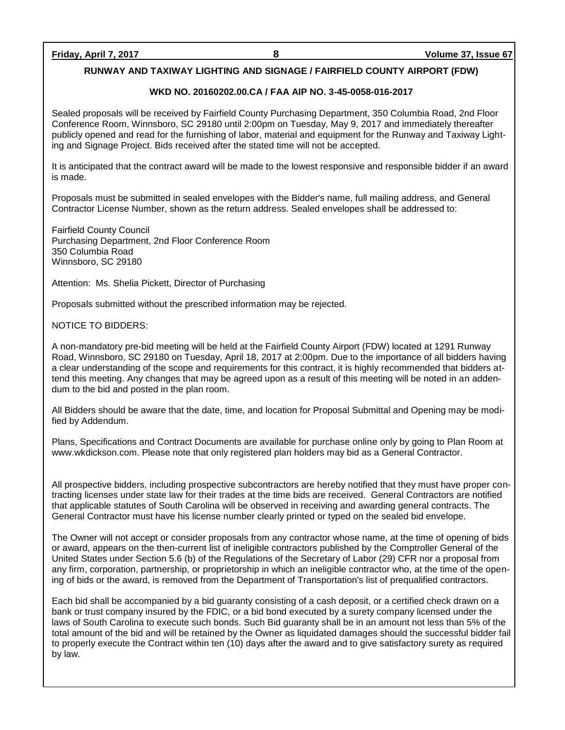# **RUNWAY AND TAXIWAY LIGHTING AND SIGNAGE / FAIRFIELD COUNTY AIRPORT (FDW)**

## **WKD NO. 20160202.00.CA / FAA AIP NO. 3-45-0058-016-2017**

Sealed proposals will be received by Fairfield County Purchasing Department, 350 Columbia Road, 2nd Floor Conference Room, Winnsboro, SC 29180 until 2:00pm on Tuesday, May 9, 2017 and immediately thereafter publicly opened and read for the furnishing of labor, material and equipment for the Runway and Taxiway Lighting and Signage Project. Bids received after the stated time will not be accepted.

It is anticipated that the contract award will be made to the lowest responsive and responsible bidder if an award is made.

Proposals must be submitted in sealed envelopes with the Bidder's name, full mailing address, and General Contractor License Number, shown as the return address. Sealed envelopes shall be addressed to:

Fairfield County Council Purchasing Department, 2nd Floor Conference Room 350 Columbia Road Winnsboro, SC 29180

Attention: Ms. Shelia Pickett, Director of Purchasing

Proposals submitted without the prescribed information may be rejected.

NOTICE TO BIDDERS:

A non-mandatory pre-bid meeting will be held at the Fairfield County Airport (FDW) located at 1291 Runway Road, Winnsboro, SC 29180 on Tuesday, April 18, 2017 at 2:00pm. Due to the importance of all bidders having a clear understanding of the scope and requirements for this contract, it is highly recommended that bidders attend this meeting. Any changes that may be agreed upon as a result of this meeting will be noted in an addendum to the bid and posted in the plan room.

All Bidders should be aware that the date, time, and location for Proposal Submittal and Opening may be modified by Addendum.

Plans, Specifications and Contract Documents are available for purchase online only by going to Plan Room at www.wkdickson.com. Please note that only registered plan holders may bid as a General Contractor.

All prospective bidders, including prospective subcontractors are hereby notified that they must have proper contracting licenses under state law for their trades at the time bids are received. General Contractors are notified that applicable statutes of South Carolina will be observed in receiving and awarding general contracts. The General Contractor must have his license number clearly printed or typed on the sealed bid envelope.

The Owner will not accept or consider proposals from any contractor whose name, at the time of opening of bids or award, appears on the then-current list of ineligible contractors published by the Comptroller General of the United States under Section 5.6 (b) of the Regulations of the Secretary of Labor (29) CFR nor a proposal from any firm, corporation, partnership, or proprietorship in which an ineligible contractor who, at the time of the opening of bids or the award, is removed from the Department of Transportation's list of prequalified contractors.

Each bid shall be accompanied by a bid guaranty consisting of a cash deposit, or a certified check drawn on a bank or trust company insured by the FDIC, or a bid bond executed by a surety company licensed under the laws of South Carolina to execute such bonds. Such Bid guaranty shall be in an amount not less than 5% of the total amount of the bid and will be retained by the Owner as liquidated damages should the successful bidder fail to properly execute the Contract within ten (10) days after the award and to give satisfactory surety as required by law.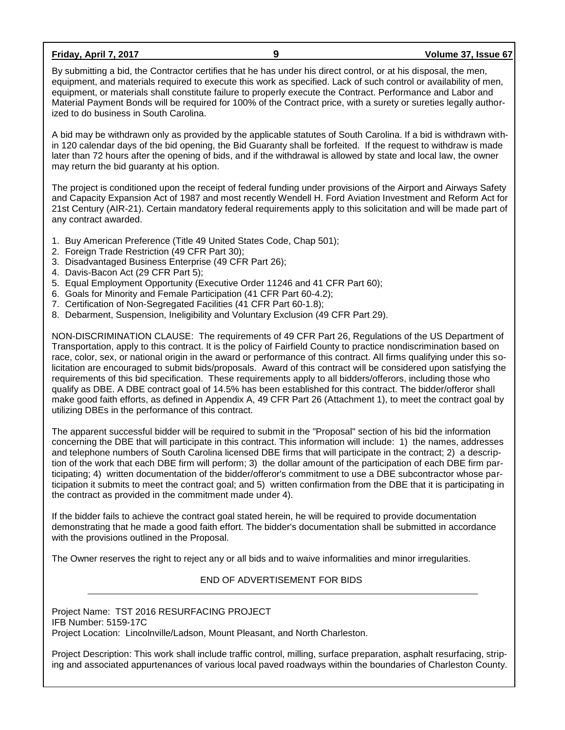**Friday, April 7, 2017 9 Volume 37, Issue 67**

By submitting a bid, the Contractor certifies that he has under his direct control, or at his disposal, the men, equipment, and materials required to execute this work as specified. Lack of such control or availability of men, equipment, or materials shall constitute failure to properly execute the Contract. Performance and Labor and Material Payment Bonds will be required for 100% of the Contract price, with a surety or sureties legally authorized to do business in South Carolina.

A bid may be withdrawn only as provided by the applicable statutes of South Carolina. If a bid is withdrawn within 120 calendar days of the bid opening, the Bid Guaranty shall be forfeited. If the request to withdraw is made later than 72 hours after the opening of bids, and if the withdrawal is allowed by state and local law, the owner may return the bid guaranty at his option.

The project is conditioned upon the receipt of federal funding under provisions of the Airport and Airways Safety and Capacity Expansion Act of 1987 and most recently Wendell H. Ford Aviation Investment and Reform Act for 21st Century (AIR-21). Certain mandatory federal requirements apply to this solicitation and will be made part of any contract awarded.

- 1. Buy American Preference (Title 49 United States Code, Chap 501);
- 2. Foreign Trade Restriction (49 CFR Part 30);
- 3. Disadvantaged Business Enterprise (49 CFR Part 26);
- 4. Davis-Bacon Act (29 CFR Part 5);
- 5. Equal Employment Opportunity (Executive Order 11246 and 41 CFR Part 60);
- 6. Goals for Minority and Female Participation (41 CFR Part 60-4.2);
- 7. Certification of Non-Segregated Facilities (41 CFR Part 60-1.8);
- 8. Debarment, Suspension, Ineligibility and Voluntary Exclusion (49 CFR Part 29).

NON-DISCRIMINATION CLAUSE: The requirements of 49 CFR Part 26, Regulations of the US Department of Transportation, apply to this contract. It is the policy of Fairfield County to practice nondiscrimination based on race, color, sex, or national origin in the award or performance of this contract. All firms qualifying under this solicitation are encouraged to submit bids/proposals. Award of this contract will be considered upon satisfying the requirements of this bid specification. These requirements apply to all bidders/offerors, including those who qualify as DBE. A DBE contract goal of 14.5% has been established for this contract. The bidder/offeror shall make good faith efforts, as defined in Appendix A, 49 CFR Part 26 (Attachment 1), to meet the contract goal by utilizing DBEs in the performance of this contract.

The apparent successful bidder will be required to submit in the "Proposal" section of his bid the information concerning the DBE that will participate in this contract. This information will include: 1) the names, addresses and telephone numbers of South Carolina licensed DBE firms that will participate in the contract; 2) a description of the work that each DBE firm will perform; 3) the dollar amount of the participation of each DBE firm participating; 4) written documentation of the bidder/offeror's commitment to use a DBE subcontractor whose participation it submits to meet the contract goal; and 5) written confirmation from the DBE that it is participating in the contract as provided in the commitment made under 4).

If the bidder fails to achieve the contract goal stated herein, he will be required to provide documentation demonstrating that he made a good faith effort. The bidder's documentation shall be submitted in accordance with the provisions outlined in the Proposal.

The Owner reserves the right to reject any or all bids and to waive informalities and minor irregularities.

# END OF ADVERTISEMENT FOR BIDS

Project Name: TST 2016 RESURFACING PROJECT IFB Number: 5159-17C Project Location: Lincolnville/Ladson, Mount Pleasant, and North Charleston.

Project Description: This work shall include traffic control, milling, surface preparation, asphalt resurfacing, striping and associated appurtenances of various local paved roadways within the boundaries of Charleston County.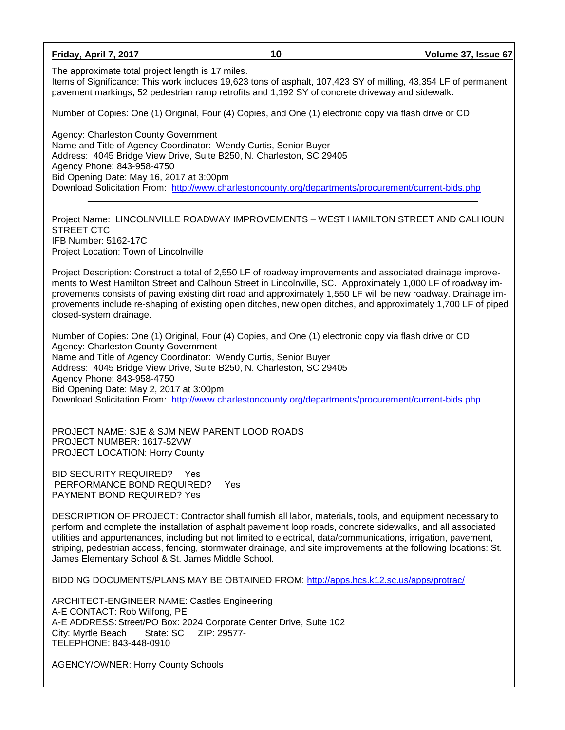**Friday, April 7, 2017 10 Volume 37, Issue 67** The approximate total project length is 17 miles. Items of Significance: This work includes 19,623 tons of asphalt, 107,423 SY of milling, 43,354 LF of permanent pavement markings, 52 pedestrian ramp retrofits and 1,192 SY of concrete driveway and sidewalk. Number of Copies: One (1) Original, Four (4) Copies, and One (1) electronic copy via flash drive or CD Agency: Charleston County Government Name and Title of Agency Coordinator: Wendy Curtis, Senior Buyer Address: 4045 Bridge View Drive, Suite B250, N. Charleston, SC 29405 Agency Phone: 843-958-4750 Bid Opening Date: May 16, 2017 at 3:00pm Download Solicitation From: <http://www.charlestoncounty.org/departments/procurement/current-bids.php> Project Name: LINCOLNVILLE ROADWAY IMPROVEMENTS – WEST HAMILTON STREET AND CALHOUN STREET CTC IFB Number: 5162-17C Project Location: Town of Lincolnville Project Description: Construct a total of 2,550 LF of roadway improvements and associated drainage improvements to West Hamilton Street and Calhoun Street in Lincolnville, SC. Approximately 1,000 LF of roadway improvements consists of paving existing dirt road and approximately 1,550 LF will be new roadway. Drainage improvements include re-shaping of existing open ditches, new open ditches, and approximately 1,700 LF of piped closed-system drainage. Number of Copies: One (1) Original, Four (4) Copies, and One (1) electronic copy via flash drive or CD Agency: Charleston County Government Name and Title of Agency Coordinator: Wendy Curtis, Senior Buyer Address: 4045 Bridge View Drive, Suite B250, N. Charleston, SC 29405 Agency Phone: 843-958-4750 Bid Opening Date: May 2, 2017 at 3:00pm Download Solicitation From: <http://www.charlestoncounty.org/departments/procurement/current-bids.php> PROJECT NAME: SJE & SJM NEW PARENT LOOD ROADS PROJECT NUMBER: 1617-52VW PROJECT LOCATION: Horry County BID SECURITY REQUIRED? Yes PERFORMANCE BOND REQUIRED? Yes PAYMENT BOND REQUIRED? Yes DESCRIPTION OF PROJECT: Contractor shall furnish all labor, materials, tools, and equipment necessary to perform and complete the installation of asphalt pavement loop roads, concrete sidewalks, and all associated utilities and appurtenances, including but not limited to electrical, data/communications, irrigation, pavement, striping, pedestrian access, fencing, stormwater drainage, and site improvements at the following locations: St. James Elementary School & St. James Middle School. BIDDING DOCUMENTS/PLANS MAY BE OBTAINED FROM:<http://apps.hcs.k12.sc.us/apps/protrac/> ARCHITECT-ENGINEER NAME: Castles Engineering A-E CONTACT: Rob Wilfong, PE A-E ADDRESS: Street/PO Box: 2024 Corporate Center Drive, Suite 102 City: Myrtle Beach State: SC ZIP: 29577- TELEPHONE: 843-448-0910 AGENCY/OWNER: Horry County Schools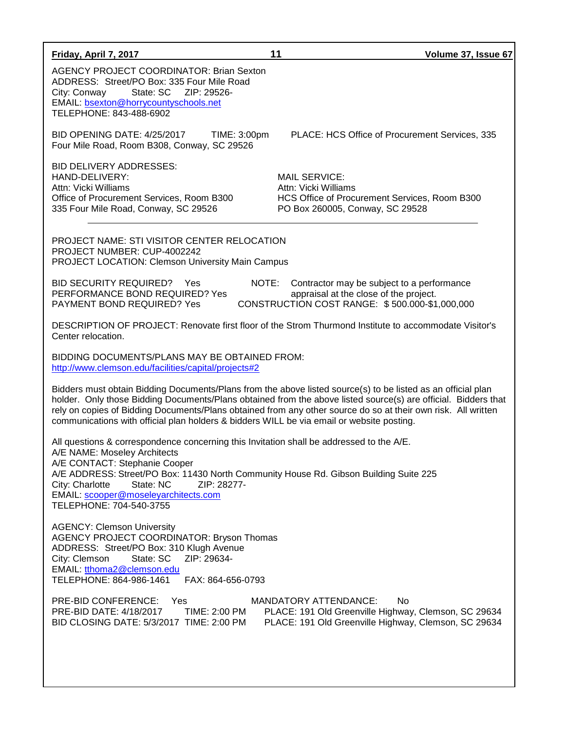| Friday, April 7, 2017                                                                                                                                                                                                                                                                                                                                                | 11<br>Volume 37, Issue 67                                                                                                                                                                                                                                                                                                                       |
|----------------------------------------------------------------------------------------------------------------------------------------------------------------------------------------------------------------------------------------------------------------------------------------------------------------------------------------------------------------------|-------------------------------------------------------------------------------------------------------------------------------------------------------------------------------------------------------------------------------------------------------------------------------------------------------------------------------------------------|
| AGENCY PROJECT COORDINATOR: Brian Sexton<br>ADDRESS: Street/PO Box: 335 Four Mile Road<br>State: SC<br>City: Conway<br>ZIP: 29526-<br>EMAIL: bsexton@horrycountyschools.net<br>TELEPHONE: 843-488-6902                                                                                                                                                               |                                                                                                                                                                                                                                                                                                                                                 |
| BID OPENING DATE: 4/25/2017<br>TIME: 3:00pm<br>Four Mile Road, Room B308, Conway, SC 29526                                                                                                                                                                                                                                                                           | PLACE: HCS Office of Procurement Services, 335                                                                                                                                                                                                                                                                                                  |
| <b>BID DELIVERY ADDRESSES:</b><br>HAND-DELIVERY:<br>Attn: Vicki Williams<br>Office of Procurement Services, Room B300<br>335 Four Mile Road, Conway, SC 29526                                                                                                                                                                                                        | <b>MAIL SERVICE:</b><br>Attn: Vicki Williams<br>HCS Office of Procurement Services, Room B300<br>PO Box 260005, Conway, SC 29528                                                                                                                                                                                                                |
| <b>PROJECT NAME: STI VISITOR CENTER RELOCATION</b><br>PROJECT NUMBER: CUP-4002242<br><b>PROJECT LOCATION: Clemson University Main Campus</b>                                                                                                                                                                                                                         |                                                                                                                                                                                                                                                                                                                                                 |
| <b>BID SECURITY REQUIRED?</b><br>Yes<br>PERFORMANCE BOND REQUIRED? Yes<br>PAYMENT BOND REQUIRED? Yes                                                                                                                                                                                                                                                                 | NOTE:<br>Contractor may be subject to a performance<br>appraisal at the close of the project.<br>CONSTRUCTION COST RANGE: \$500.000-\$1,000,000                                                                                                                                                                                                 |
| Center relocation.                                                                                                                                                                                                                                                                                                                                                   | DESCRIPTION OF PROJECT: Renovate first floor of the Strom Thurmond Institute to accommodate Visitor's                                                                                                                                                                                                                                           |
| BIDDING DOCUMENTS/PLANS MAY BE OBTAINED FROM:<br>http://www.clemson.edu/facilities/capital/projects#2                                                                                                                                                                                                                                                                |                                                                                                                                                                                                                                                                                                                                                 |
| communications with official plan holders & bidders WILL be via email or website posting.                                                                                                                                                                                                                                                                            | Bidders must obtain Bidding Documents/Plans from the above listed source(s) to be listed as an official plan<br>holder. Only those Bidding Documents/Plans obtained from the above listed source(s) are official. Bidders that<br>rely on copies of Bidding Documents/Plans obtained from any other source do so at their own risk. All written |
| All questions & correspondence concerning this Invitation shall be addressed to the A/E.<br>A/E NAME: Moseley Architects<br>A/E CONTACT: Stephanie Cooper<br>A/E ADDRESS: Street/PO Box: 11430 North Community House Rd. Gibson Building Suite 225<br>State: NC<br>ZIP: 28277-<br>City: Charlotte<br>EMAIL: scooper@moseleyarchitects.com<br>TELEPHONE: 704-540-3755 |                                                                                                                                                                                                                                                                                                                                                 |
| <b>AGENCY: Clemson University</b><br><b>AGENCY PROJECT COORDINATOR: Bryson Thomas</b><br>ADDRESS: Street/PO Box: 310 Klugh Avenue<br>City: Clemson<br>State: SC<br>ZIP: 29634-<br>EMAIL: tthoma2@clemson.edu<br>TELEPHONE: 864-986-1461<br>FAX: 864-656-0793                                                                                                         |                                                                                                                                                                                                                                                                                                                                                 |
| PRE-BID CONFERENCE: Yes<br>PRE-BID DATE: 4/18/2017<br>TIME: 2:00 PM<br>BID CLOSING DATE: 5/3/2017 TIME: 2:00 PM                                                                                                                                                                                                                                                      | <b>MANDATORY ATTENDANCE:</b><br>No<br>PLACE: 191 Old Greenville Highway, Clemson, SC 29634<br>PLACE: 191 Old Greenville Highway, Clemson, SC 29634                                                                                                                                                                                              |
|                                                                                                                                                                                                                                                                                                                                                                      |                                                                                                                                                                                                                                                                                                                                                 |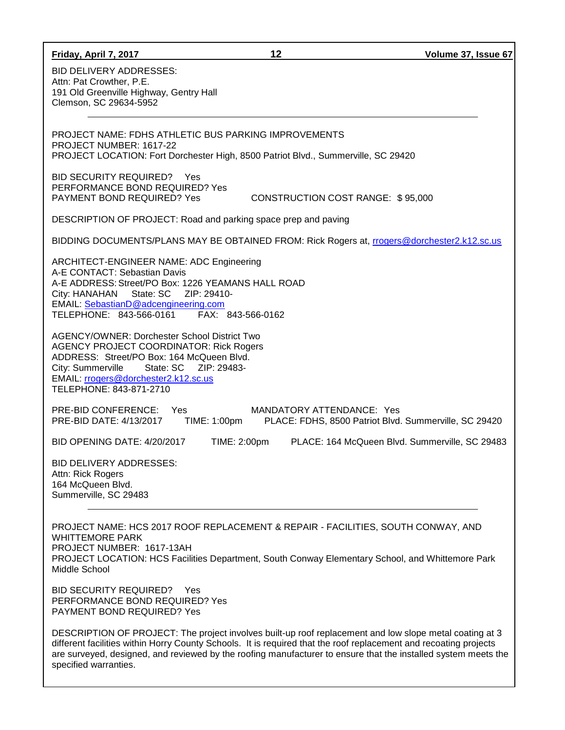| Friday, April 7, 2017                                                                                                                                                                                                                                                                                                                                                                                                                    | 12                                                                                 | Volume 37, Issue 67                            |
|------------------------------------------------------------------------------------------------------------------------------------------------------------------------------------------------------------------------------------------------------------------------------------------------------------------------------------------------------------------------------------------------------------------------------------------|------------------------------------------------------------------------------------|------------------------------------------------|
| <b>BID DELIVERY ADDRESSES:</b><br>Attn: Pat Crowther, P.E.<br>191 Old Greenville Highway, Gentry Hall<br>Clemson, SC 29634-5952                                                                                                                                                                                                                                                                                                          |                                                                                    |                                                |
| PROJECT NAME: FDHS ATHLETIC BUS PARKING IMPROVEMENTS<br>PROJECT NUMBER: 1617-22<br>PROJECT LOCATION: Fort Dorchester High, 8500 Patriot Blvd., Summerville, SC 29420                                                                                                                                                                                                                                                                     |                                                                                    |                                                |
| BID SECURITY REQUIRED? Yes<br>PERFORMANCE BOND REQUIRED? Yes<br>PAYMENT BOND REQUIRED? Yes                                                                                                                                                                                                                                                                                                                                               | CONSTRUCTION COST RANGE: \$95,000                                                  |                                                |
| DESCRIPTION OF PROJECT: Road and parking space prep and paving                                                                                                                                                                                                                                                                                                                                                                           |                                                                                    |                                                |
| BIDDING DOCUMENTS/PLANS MAY BE OBTAINED FROM: Rick Rogers at, rrogers@dorchester2.k12.sc.us                                                                                                                                                                                                                                                                                                                                              |                                                                                    |                                                |
| ARCHITECT-ENGINEER NAME: ADC Engineering<br>A-E CONTACT: Sebastian Davis<br>A-E ADDRESS: Street/PO Box: 1226 YEAMANS HALL ROAD<br>City: HANAHAN State: SC ZIP: 29410-<br>EMAIL: SebastianD@adcengineering.com<br>TELEPHONE: 843-566-0161<br>FAX: 843-566-0162<br><b>AGENCY/OWNER: Dorchester School District Two</b><br><b>AGENCY PROJECT COORDINATOR: Rick Rogers</b><br>ADDRESS: Street/PO Box: 164 McQueen Blvd.<br>City: Summerville |                                                                                    |                                                |
| EMAIL: rrogers@dorchester2.k12.sc.us<br>TELEPHONE: 843-871-2710                                                                                                                                                                                                                                                                                                                                                                          |                                                                                    |                                                |
| PRE-BID CONFERENCE: Yes<br>PRE-BID DATE: 4/13/2017<br>TIME: 1:00pm                                                                                                                                                                                                                                                                                                                                                                       | MANDATORY ATTENDANCE: Yes<br>PLACE: FDHS, 8500 Patriot Blvd. Summerville, SC 29420 |                                                |
| BID OPENING DATE: 4/20/2017<br>TIME: 2:00pm                                                                                                                                                                                                                                                                                                                                                                                              |                                                                                    | PLACE: 164 McQueen Blvd. Summerville, SC 29483 |
| <b>BID DELIVERY ADDRESSES:</b><br>Attn: Rick Rogers<br>164 McQueen Blvd.<br>Summerville, SC 29483                                                                                                                                                                                                                                                                                                                                        |                                                                                    |                                                |
| PROJECT NAME: HCS 2017 ROOF REPLACEMENT & REPAIR - FACILITIES, SOUTH CONWAY, AND<br><b>WHITTEMORE PARK</b><br>PROJECT NUMBER: 1617-13AH<br>PROJECT LOCATION: HCS Facilities Department, South Conway Elementary School, and Whittemore Park<br>Middle School                                                                                                                                                                             |                                                                                    |                                                |

BID SECURITY REQUIRED? Yes PERFORMANCE BOND REQUIRED? Yes PAYMENT BOND REQUIRED? Yes

DESCRIPTION OF PROJECT: The project involves built-up roof replacement and low slope metal coating at 3 different facilities within Horry County Schools. It is required that the roof replacement and recoating projects are surveyed, designed, and reviewed by the roofing manufacturer to ensure that the installed system meets the specified warranties.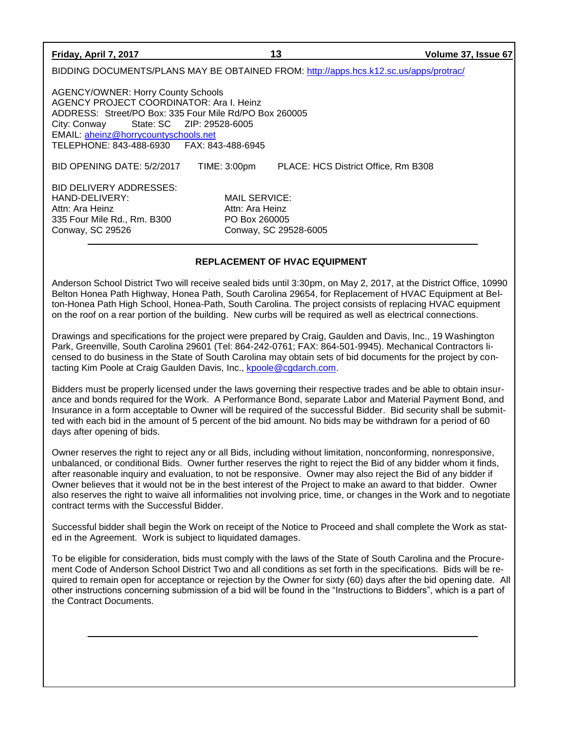| Friday, April 7, 2017                                                                                                                                                                                                                                   | 13                                                                         | Volume 37, Issue 67                 |
|---------------------------------------------------------------------------------------------------------------------------------------------------------------------------------------------------------------------------------------------------------|----------------------------------------------------------------------------|-------------------------------------|
| BIDDING DOCUMENTS/PLANS MAY BE OBTAINED FROM: http://apps.hcs.k12.sc.us/apps/protrac/                                                                                                                                                                   |                                                                            |                                     |
| <b>AGENCY/OWNER: Horry County Schools</b><br>AGENCY PROJECT COORDINATOR: Ara I. Heinz<br>ADDRESS: Street/PO Box: 335 Four Mile Rd/PO Box 260005<br>City: Conway<br>EMAIL: aheinz@horrycountyschools.net<br>TELEPHONE: 843-488-6930    FAX: 843-488-6945 |                                                                            |                                     |
| BID OPENING DATE: 5/2/2017                                                                                                                                                                                                                              | TIME: 3:00pm                                                               | PLACE: HCS District Office, Rm B308 |
| BID DELIVERY ADDRESSES:<br>HAND-DELIVERY:<br>Attn: Ara Heinz<br>335 Four Mile Rd., Rm. B300<br>Conway, SC 29526                                                                                                                                         | MAIL SERVICE:<br>Attn: Ara Heinz<br>PO Box 260005<br>Conway, SC 29528-6005 |                                     |

# **REPLACEMENT OF HVAC EQUIPMENT**

Anderson School District Two will receive sealed bids until 3:30pm, on May 2, 2017, at the District Office, 10990 Belton Honea Path Highway, Honea Path, South Carolina 29654, for Replacement of HVAC Equipment at Belton-Honea Path High School, Honea-Path, South Carolina. The project consists of replacing HVAC equipment on the roof on a rear portion of the building. New curbs will be required as well as electrical connections.

Drawings and specifications for the project were prepared by Craig, Gaulden and Davis, Inc., 19 Washington Park, Greenville, South Carolina 29601 (Tel: 864-242-0761; FAX: 864-501-9945). Mechanical Contractors licensed to do business in the State of South Carolina may obtain sets of bid documents for the project by contacting Kim Poole at Craig Gaulden Davis, Inc., [kpoole@cgdarch.com.](mailto:kpoole@cgdarch.com)

Bidders must be properly licensed under the laws governing their respective trades and be able to obtain insurance and bonds required for the Work. A Performance Bond, separate Labor and Material Payment Bond, and Insurance in a form acceptable to Owner will be required of the successful Bidder. Bid security shall be submitted with each bid in the amount of 5 percent of the bid amount. No bids may be withdrawn for a period of 60 days after opening of bids.

Owner reserves the right to reject any or all Bids, including without limitation, nonconforming, nonresponsive, unbalanced, or conditional Bids. Owner further reserves the right to reject the Bid of any bidder whom it finds, after reasonable inquiry and evaluation, to not be responsive. Owner may also reject the Bid of any bidder if Owner believes that it would not be in the best interest of the Project to make an award to that bidder. Owner also reserves the right to waive all informalities not involving price, time, or changes in the Work and to negotiate contract terms with the Successful Bidder.

Successful bidder shall begin the Work on receipt of the Notice to Proceed and shall complete the Work as stated in the Agreement. Work is subject to liquidated damages.

To be eligible for consideration, bids must comply with the laws of the State of South Carolina and the Procurement Code of Anderson School District Two and all conditions as set forth in the specifications. Bids will be required to remain open for acceptance or rejection by the Owner for sixty (60) days after the bid opening date. All other instructions concerning submission of a bid will be found in the "Instructions to Bidders", which is a part of the Contract Documents.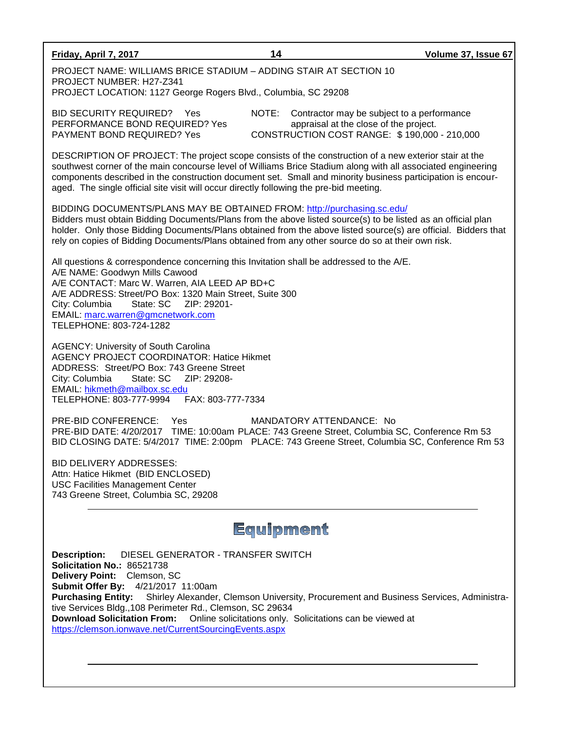| Friday, April 7, 2017                                                                                                                                                                                                                                                                                                                                                                                                                                                                              | 14                       | Volume 37, Issue 67                                                                                                                  |  |  |
|----------------------------------------------------------------------------------------------------------------------------------------------------------------------------------------------------------------------------------------------------------------------------------------------------------------------------------------------------------------------------------------------------------------------------------------------------------------------------------------------------|--------------------------|--------------------------------------------------------------------------------------------------------------------------------------|--|--|
| PROJECT NAME: WILLIAMS BRICE STADIUM - ADDING STAIR AT SECTION 10<br>PROJECT NUMBER: H27-Z341<br>PROJECT LOCATION: 1127 George Rogers Blvd., Columbia, SC 29208                                                                                                                                                                                                                                                                                                                                    |                          |                                                                                                                                      |  |  |
| <b>BID SECURITY REQUIRED?</b> Yes<br>PERFORMANCE BOND REQUIRED? Yes<br>PAYMENT BOND REQUIRED? Yes                                                                                                                                                                                                                                                                                                                                                                                                  | NOTE:                    | Contractor may be subject to a performance<br>appraisal at the close of the project.<br>CONSTRUCTION COST RANGE: \$190,000 - 210,000 |  |  |
| DESCRIPTION OF PROJECT: The project scope consists of the construction of a new exterior stair at the<br>southwest corner of the main concourse level of Williams Brice Stadium along with all associated engineering<br>components described in the construction document set. Small and minority business participation is encour-<br>aged. The single official site visit will occur directly following the pre-bid meeting.                                                                    |                          |                                                                                                                                      |  |  |
| BIDDING DOCUMENTS/PLANS MAY BE OBTAINED FROM: http://purchasing.sc.edu/<br>Bidders must obtain Bidding Documents/Plans from the above listed source(s) to be listed as an official plan<br>holder. Only those Bidding Documents/Plans obtained from the above listed source(s) are official. Bidders that<br>rely on copies of Bidding Documents/Plans obtained from any other source do so at their own risk.                                                                                     |                          |                                                                                                                                      |  |  |
| All questions & correspondence concerning this Invitation shall be addressed to the A/E.<br>A/E NAME: Goodwyn Mills Cawood<br>A/E CONTACT: Marc W. Warren, AIA LEED AP BD+C<br>A/E ADDRESS: Street/PO Box: 1320 Main Street, Suite 300<br>State: SC<br>ZIP: 29201-<br>City: Columbia<br>EMAIL: marc.warren@gmcnetwork.com<br>TELEPHONE: 803-724-1282                                                                                                                                               |                          |                                                                                                                                      |  |  |
| <b>AGENCY: University of South Carolina</b><br><b>AGENCY PROJECT COORDINATOR: Hatice Hikmet</b><br>ADDRESS: Street/PO Box: 743 Greene Street<br>City: Columbia<br>EMAIL: hikmeth@mailbox.sc.edu<br>TELEPHONE: 803-777-9994    FAX: 803-777-7334                                                                                                                                                                                                                                                    |                          |                                                                                                                                      |  |  |
| PRE-BID CONFERENCE:<br>Yes<br>PRE-BID DATE: 4/20/2017 TIME: 10:00am PLACE: 743 Greene Street, Columbia SC, Conference Rm 53<br>BID CLOSING DATE: 5/4/2017 TIME: 2:00pm PLACE: 743 Greene Street, Columbia SC, Conference Rm 53                                                                                                                                                                                                                                                                     | MANDATORY ATTENDANCE: No |                                                                                                                                      |  |  |
| <b>BID DELIVERY ADDRESSES:</b><br>Attn: Hatice Hikmet (BID ENCLOSED)<br><b>USC Facilities Management Center</b><br>743 Greene Street, Columbia SC, 29208                                                                                                                                                                                                                                                                                                                                           |                          |                                                                                                                                      |  |  |
| Equipment                                                                                                                                                                                                                                                                                                                                                                                                                                                                                          |                          |                                                                                                                                      |  |  |
| <b>Description:</b><br>DIESEL GENERATOR - TRANSFER SWITCH<br>Solicitation No.: 86521738<br>Delivery Point: Clemson, SC<br>Submit Offer By: 4/21/2017 11:00am<br><b>Purchasing Entity:</b><br>Shirley Alexander, Clemson University, Procurement and Business Services, Administra-<br>tive Services Bldg., 108 Perimeter Rd., Clemson, SC 29634<br>Download Solicitation From: Online solicitations only. Solicitations can be viewed at<br>https://clemson.ionwave.net/CurrentSourcingEvents.aspx |                          |                                                                                                                                      |  |  |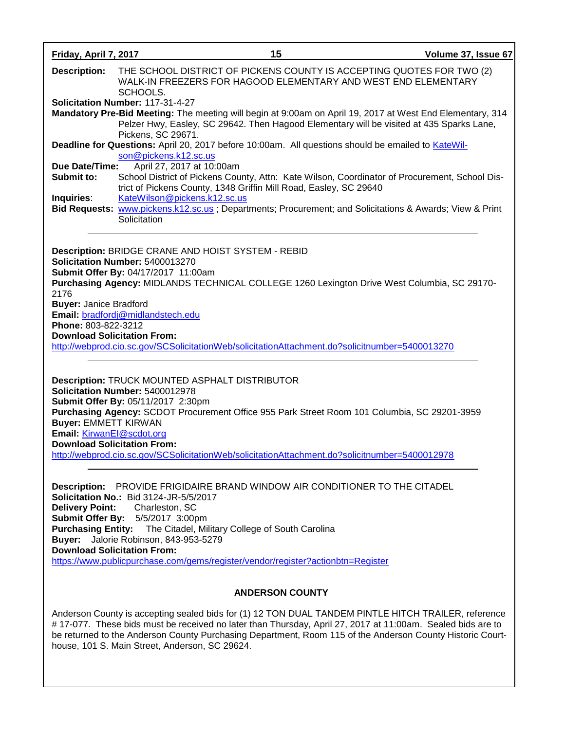| Friday, April 7, 2017                                                                          |                                                                                                                                                                                                                                                                                                                                                                                                    | 15                                                                                            | Volume 37, Issue 67 |
|------------------------------------------------------------------------------------------------|----------------------------------------------------------------------------------------------------------------------------------------------------------------------------------------------------------------------------------------------------------------------------------------------------------------------------------------------------------------------------------------------------|-----------------------------------------------------------------------------------------------|---------------------|
| <b>Description:</b>                                                                            | THE SCHOOL DISTRICT OF PICKENS COUNTY IS ACCEPTING QUOTES FOR TWO (2)<br>WALK-IN FREEZERS FOR HAGOOD ELEMENTARY AND WEST END ELEMENTARY<br>SCHOOLS.                                                                                                                                                                                                                                                |                                                                                               |                     |
|                                                                                                | Solicitation Number: 117-31-4-27<br>Mandatory Pre-Bid Meeting: The meeting will begin at 9:00am on April 19, 2017 at West End Elementary, 314<br>Pickens, SC 29671.                                                                                                                                                                                                                                | Pelzer Hwy, Easley, SC 29642. Then Hagood Elementary will be visited at 435 Sparks Lane,      |                     |
| Due Date/Time:                                                                                 | Deadline for Questions: April 20, 2017 before 10:00am. All questions should be emailed to KateWil-<br>son@pickens.k12.sc.us<br>April 27, 2017 at 10:00am                                                                                                                                                                                                                                           |                                                                                               |                     |
| Submit to:                                                                                     | trict of Pickens County, 1348 Griffin Mill Road, Easley, SC 29640                                                                                                                                                                                                                                                                                                                                  | School District of Pickens County, Attn: Kate Wilson, Coordinator of Procurement, School Dis- |                     |
| Inquiries:                                                                                     | KateWilson@pickens.k12.sc.us<br>Bid Requests: www.pickens.k12.sc.us; Departments; Procurement; and Solicitations & Awards; View & Print<br>Solicitation                                                                                                                                                                                                                                            |                                                                                               |                     |
| 2176                                                                                           | Description: BRIDGE CRANE AND HOIST SYSTEM - REBID<br>Solicitation Number: 5400013270<br>Submit Offer By: 04/17/2017 11:00am<br>Purchasing Agency: MIDLANDS TECHNICAL COLLEGE 1260 Lexington Drive West Columbia, SC 29170-                                                                                                                                                                        |                                                                                               |                     |
| <b>Buyer: Janice Bradford</b><br>Phone: 803-822-3212<br><b>Download Solicitation From:</b>     | Email: bradfordj@midlandstech.edu<br>http://webprod.cio.sc.gov/SCSolicitationWeb/solicitationAttachment.do?solicitnumber=5400013270                                                                                                                                                                                                                                                                |                                                                                               |                     |
| <b>Buyer: EMMETT KIRWAN</b><br>Email: KirwanEl@scdot.org<br><b>Download Solicitation From:</b> | <b>Description: TRUCK MOUNTED ASPHALT DISTRIBUTOR</b><br>Solicitation Number: 5400012978<br>Submit Offer By: 05/11/2017 2:30pm<br>Purchasing Agency: SCDOT Procurement Office 955 Park Street Room 101 Columbia, SC 29201-3959<br>http://webprod.cio.sc.gov/SCSolicitationWeb/solicitationAttachment.do?solicitnumber=5400012978                                                                   |                                                                                               |                     |
| <b>Delivery Point:</b><br><b>Download Solicitation From:</b>                                   | <b>Description:</b> PROVIDE FRIGIDAIRE BRAND WINDOW AIR CONDITIONER TO THE CITADEL<br><b>Solicitation No.: Bid 3124-JR-5/5/2017</b><br>Charleston, SC<br>Submit Offer By: 5/5/2017 3:00pm<br><b>Purchasing Entity:</b> The Citadel, Military College of South Carolina<br>Buyer: Jalorie Robinson, 843-953-5279<br>https://www.publicpurchase.com/gems/register/vendor/register?actionbtn=Register |                                                                                               |                     |
|                                                                                                |                                                                                                                                                                                                                                                                                                                                                                                                    | <b>ANDERSON COUNTY</b>                                                                        |                     |
|                                                                                                | Anderson County is accepting sealed bids for (1) 12 TON DUAL TANDEM PINTLE HITCH TRAILER, reference<br>#17-077. These bids must be received no later than Thursday, April 27, 2017 at 11:00am. Sealed bids are to<br>be returned to the Anderson County Purchasing Department, Room 115 of the Anderson County Historic Court-<br>house, 101 S. Main Street, Anderson, SC 29624.                   |                                                                                               |                     |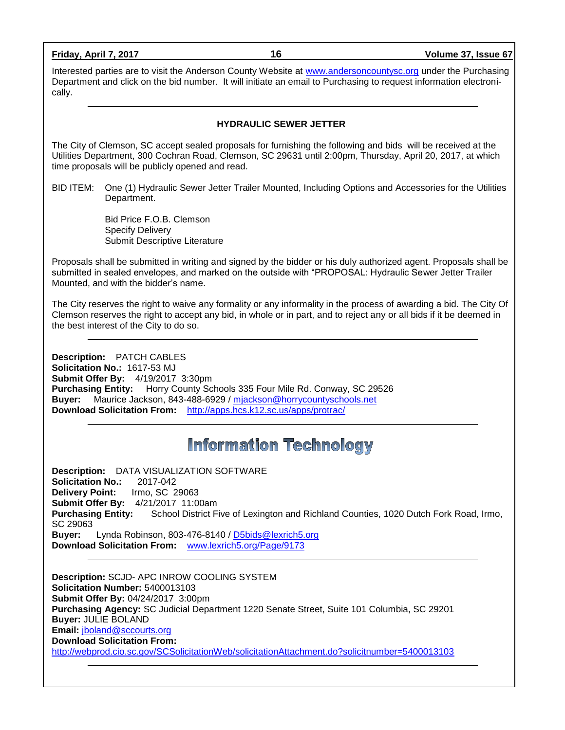| Friday, April 7, 2017 |  |
|-----------------------|--|
|                       |  |

**Friday, April 7, 2017 16 Volume 37, Issue 67**

Interested parties are to visit the Anderson County Website at [www.andersoncountysc.org](http://www.andersoncountysc.org/) under the Purchasing Department and click on the bid number. It will initiate an email to Purchasing to request information electronically.

# **HYDRAULIC SEWER JETTER**

The City of Clemson, SC accept sealed proposals for furnishing the following and bids will be received at the Utilities Department, 300 Cochran Road, Clemson, SC 29631 until 2:00pm, Thursday, April 20, 2017, at which time proposals will be publicly opened and read.

BID ITEM: One (1) Hydraulic Sewer Jetter Trailer Mounted, Including Options and Accessories for the Utilities Department.

> Bid Price F.O.B. Clemson Specify Delivery Submit Descriptive Literature

Proposals shall be submitted in writing and signed by the bidder or his duly authorized agent. Proposals shall be submitted in sealed envelopes, and marked on the outside with "PROPOSAL: Hydraulic Sewer Jetter Trailer Mounted, and with the bidder's name.

The City reserves the right to waive any formality or any informality in the process of awarding a bid. The City Of Clemson reserves the right to accept any bid, in whole or in part, and to reject any or all bids if it be deemed in the best interest of the City to do so.

**Description:** PATCH CABLES **Solicitation No.:** 1617-53 MJ **Submit Offer By:** 4/19/2017 3:30pm **Purchasing Entity:** Horry County Schools 335 Four Mile Rd. Conway, SC 29526 **Buyer:** Maurice Jackson, 843-488-6929 / [mjackson@horrycountyschools.net](mailto:mjackson@horrycountyschools.net) **Download Solicitation From:** <http://apps.hcs.k12.sc.us/apps/protrac/>

# **Information Technology**

**Description:** DATA VISUALIZATION SOFTWARE **Solicitation No.:** 2017-042 **Delivery Point:** Irmo, SC 29063 **Submit Offer By:** 4/21/2017 11:00am **Purchasing Entity:** School District Five of Lexington and Richland Counties, 1020 Dutch Fork Road, Irmo, SC 29063 **Buyer:** Lynda Robinson, 803-476-8140 / [D5bids@lexrich5.org](mailto:D5bids@lexrich5.org) **Download Solicitation From:** [www.lexrich5.org/Page/9173](http://www.lexrich5.org/Page/9173)

**Description:** SCJD- APC INROW COOLING SYSTEM **Solicitation Number:** 5400013103 **Submit Offer By:** 04/24/2017 3:00pm **Purchasing Agency:** SC Judicial Department 1220 Senate Street, Suite 101 Columbia, SC 29201 **Buyer:** JULIE BOLAND **Email:** [jboland@sccourts.org](mailto:jboland@sccourts.org) **Download Solicitation From:**  <http://webprod.cio.sc.gov/SCSolicitationWeb/solicitationAttachment.do?solicitnumber=5400013103>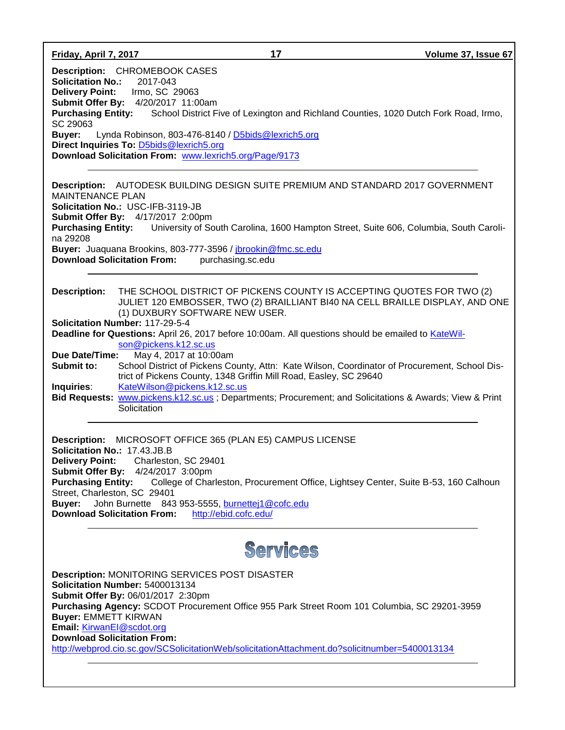**Friday, April 7, 2017 17 Volume 37, Issue 67**

**Description:** CHROMEBOOK CASES **Solicitation No.:** 2017-043 **Delivery Point:** Irmo, SC 29063 **Submit Offer By:** 4/20/2017 11:00am **Purchasing Entity:** School District Five of Lexington and Richland Counties, 1020 Dutch Fork Road, Irmo, SC 29063 **Buyer:** Lynda Robinson, 803-476-8140 / [D5bids@lexrich5.org](mailto:D5bids@lexrich5.org) **Direct Inquiries To:** [D5bids@lexrich5.org](mailto:D5bids@lexrich5.org) **Download Solicitation From:** [www.lexrich5.org/Page/9173](http://www.lexrich5.org/Page/9173)

**Description:** AUTODESK BUILDING DESIGN SUITE PREMIUM AND STANDARD 2017 GOVERNMENT MAINTENANCE PLAN **Solicitation No.:** USC-IFB-3119-JB **Submit Offer By:** 4/17/2017 2:00pm **Purchasing Entity:** University of South Carolina, 1600 Hampton Street, Suite 606, Columbia, South Carolina 29208 **Buyer:** Juaquana Brookins, 803-777-3596 / [jbrookin@fmc.sc.edu](mailto:jbrookin@fmc.sc.edu) **Download Solicitation From:** purchasing.sc.edu

**Description:** THE SCHOOL DISTRICT OF PICKENS COUNTY IS ACCEPTING QUOTES FOR TWO (2) JULIET 120 EMBOSSER, TWO (2) BRAILLIANT BI40 NA CELL BRAILLE DISPLAY, AND ONE (1) DUXBURY SOFTWARE NEW USER.

**Solicitation Number:** 117-29-5-4

**Deadline for Questions:** April 26, 2017 before 10:00am. All questions should be emailed to [KateWil](mailto:KateWilson@pickens.k12.sc.us)[son@pickens.k12.sc.us](mailto:KateWilson@pickens.k12.sc.us)<br>Due Date/Time: May 4, 2017 at 10:00

**Due Date/Time:** May 4, 2017 at 10:00am

**Submit to:** School District of Pickens County, Attn: Kate Wilson, Coordinator of Procurement, School District of Pickens County, 1348 Griffin Mill Road, Easley, SC 29640 **Inquiries:** [KateWilson@pickens.k12.sc.us](mailto:KateWilson@pickens.k12.sc.us)

**Bid Requests:** [www.pickens.k12.sc.us](http://www.pickens.k12.sc.us/) ; Departments; Procurement; and Solicitations & Awards; View & Print **Solicitation** 

**Description:** MICROSOFT OFFICE 365 (PLAN E5) CAMPUS LICENSE **Solicitation No.:** 17.43.JB.B **Delivery Point:** Charleston, SC 29401 **Submit Offer By:** 4/24/2017 3:00pm **Purchasing Entity:** College of Charleston, Procurement Office, Lightsey Center, Suite B-53, 160 Calhoun Street, Charleston, SC 29401 **Buyer:** John Burnette 843 953-5555, [burnettej1@cofc.edu](mailto:burnettej1@cofc.edu) **Download Solicitation From:** <http://ebid.cofc.edu/>

# Services

**Description:** MONITORING SERVICES POST DISASTER **Solicitation Number:** 5400013134 **Submit Offer By:** 06/01/2017 2:30pm **Purchasing Agency:** SCDOT Procurement Office 955 Park Street Room 101 Columbia, SC 29201-3959 **Buyer:** EMMETT KIRWAN **Email:** [KirwanEI@scdot.org](mailto:KirwanEI@scdot.org) **Download Solicitation From:**  <http://webprod.cio.sc.gov/SCSolicitationWeb/solicitationAttachment.do?solicitnumber=5400013134>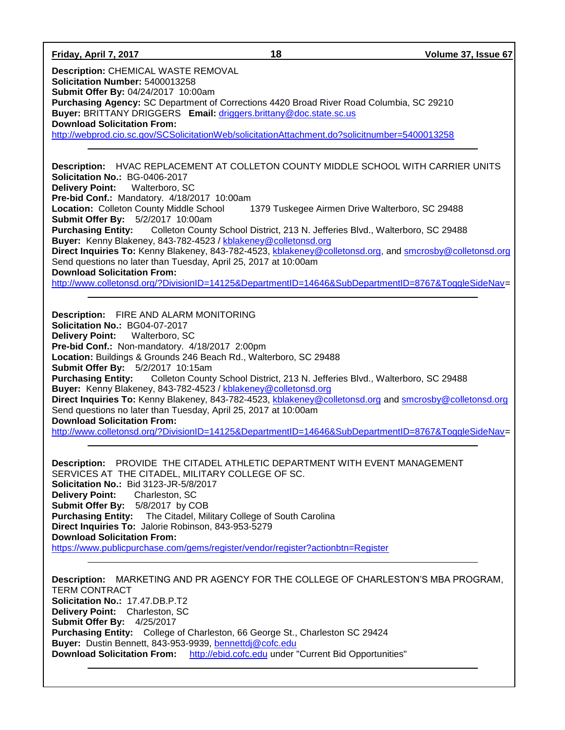**Friday, April 7, 2017 18 Volume 37, Issue 67 Description:** CHEMICAL WASTE REMOVAL **Solicitation Number:** 5400013258 **Submit Offer By:** 04/24/2017 10:00am **Purchasing Agency:** SC Department of Corrections 4420 Broad River Road Columbia, SC 29210 **Buyer:** BRITTANY DRIGGERS **Email:** [driggers.brittany@doc.state.sc.us](mailto:driggers.brittany@doc.state.sc.us) **Download Solicitation From:**  <http://webprod.cio.sc.gov/SCSolicitationWeb/solicitationAttachment.do?solicitnumber=5400013258> **Description:** HVAC REPLACEMENT AT COLLETON COUNTY MIDDLE SCHOOL WITH CARRIER UNITS **Solicitation No.:** BG-0406-2017 **Delivery Point:** Walterboro, SC **Pre-bid Conf.:** Mandatory. 4/18/2017 10:00am **Location:** Colleton County Middle School 1379 Tuskegee Airmen Drive Walterboro, SC 29488 **Submit Offer By:** 5/2/2017 10:00am **Purchasing Entity:** Colleton County School District, 213 N. Jefferies Blvd., Walterboro, SC 29488 **Buyer:** Kenny Blakeney, 843-782-4523 / [kblakeney@colletonsd.org](mailto:kblakeney@colletonsd.org)  **Direct Inquiries To:** Kenny Blakeney, 843-782-4523, [kblakeney@colletonsd.org,](mailto:kblakeney@colletonsd.org) and [smcrosby@colletonsd.org](mailto:smcrosby@colletonsd.org) Send questions no later than Tuesday, April 25, 2017 at 10:00am **Download Solicitation From:** [http://www.colletonsd.org/?DivisionID=14125&DepartmentID=14646&SubDepartmentID=8767&ToggleSideNav=](http://www.colletonsd.org/?DivisionID=14125&DepartmentID=14646&SubDepartmentID=8767&ToggleSideNav) **Description:** FIRE AND ALARM MONITORING **Solicitation No.:** BG04-07-2017 **Delivery Point:** Walterboro, SC **Pre-bid Conf.:** Non-mandatory. 4/18/2017 2:00pm **Location:** Buildings & Grounds 246 Beach Rd., Walterboro, SC 29488 **Submit Offer By:** 5/2/2017 10:15am **Purchasing Entity:** Colleton County School District, 213 N. Jefferies Blvd., Walterboro, SC 29488 **Buyer:** Kenny Blakeney, 843-782-4523 / [kblakeney@colletonsd.org](mailto:kblakeney@colletonsd.org)  **Direct Inquiries To:** Kenny Blakeney, 843-782-4523, [kblakeney@colletonsd.org](mailto:kblakeney@colletonsd.org) and [smcrosby@colletonsd.org](mailto:smcrosby@colletonsd.org) Send questions no later than Tuesday, April 25, 2017 at 10:00am **Download Solicitation From:** [http://www.colletonsd.org/?DivisionID=14125&DepartmentID=14646&SubDepartmentID=8767&ToggleSideNav=](http://www.colletonsd.org/?DivisionID=14125&DepartmentID=14646&SubDepartmentID=8767&ToggleSideNav) **Description:** PROVIDE THE CITADEL ATHLETIC DEPARTMENT WITH EVENT MANAGEMENT SERVICES AT THE CITADEL, MILITARY COLLEGE OF SC. **Solicitation No.:** Bid 3123-JR-5/8/2017 **Delivery Point:** Charleston, SC **Submit Offer By:** 5/8/2017 by COB **Purchasing Entity:** The Citadel, Military College of South Carolina **Direct Inquiries To:** Jalorie Robinson, 843-953-5279 **Download Solicitation From:** <https://www.publicpurchase.com/gems/register/vendor/register?actionbtn=Register> **Description:** MARKETING AND PR AGENCY FOR THE COLLEGE OF CHARLESTON'S MBA PROGRAM,

TERM CONTRACT **Solicitation No.:** 17.47.DB.P.T2 **Delivery Point:** Charleston, SC **Submit Offer By:** 4/25/2017 **Purchasing Entity:** College of Charleston, 66 George St., Charleston SC 29424 Buyer: Dustin Bennett, 843-953-9939, [bennettdj@cofc.edu](mailto:bennettdj@cofc.edu) **Download Solicitation From:** [http://ebid.cofc.edu](http://ebid.cofc.edu/) under "Current Bid Opportunities"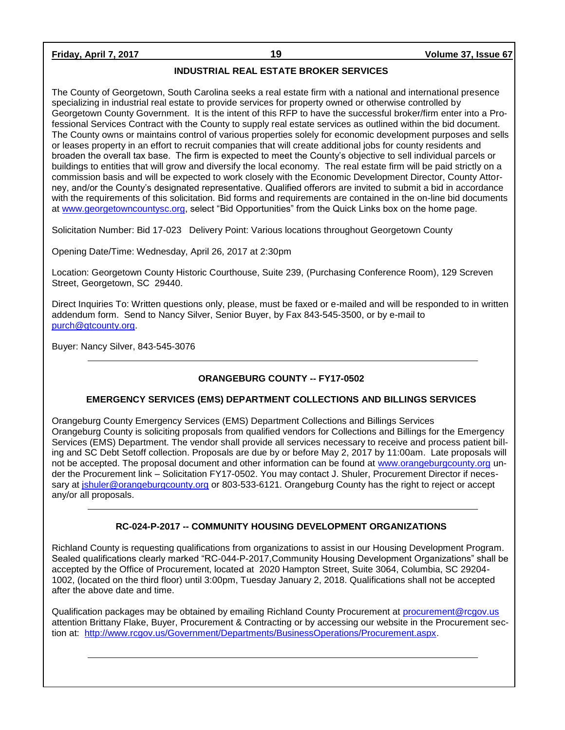# **Friday, April 7, 2017 19 Volume 37, Issue 67**

# **INDUSTRIAL REAL ESTATE BROKER SERVICES**

The County of Georgetown, South Carolina seeks a real estate firm with a national and international presence specializing in industrial real estate to provide services for property owned or otherwise controlled by Georgetown County Government. It is the intent of this RFP to have the successful broker/firm enter into a Professional Services Contract with the County to supply real estate services as outlined within the bid document. The County owns or maintains control of various properties solely for economic development purposes and sells or leases property in an effort to recruit companies that will create additional jobs for county residents and broaden the overall tax base. The firm is expected to meet the County's objective to sell individual parcels or buildings to entities that will grow and diversify the local economy. The real estate firm will be paid strictly on a commission basis and will be expected to work closely with the Economic Development Director, County Attorney, and/or the County's designated representative. Qualified offerors are invited to submit a bid in accordance with the requirements of this solicitation. Bid forms and requirements are contained in the on-line bid documents at [www.georgetowncountysc.org,](http://www.georgetowncountysc.org/) select "Bid Opportunities" from the Quick Links box on the home page.

Solicitation Number: Bid 17-023 Delivery Point: Various locations throughout Georgetown County

Opening Date/Time: Wednesday, April 26, 2017 at 2:30pm

Location: Georgetown County Historic Courthouse, Suite 239, (Purchasing Conference Room), 129 Screven Street, Georgetown, SC 29440.

Direct Inquiries To: Written questions only, please, must be faxed or e-mailed and will be responded to in written addendum form. Send to Nancy Silver, Senior Buyer, by Fax 843-545-3500, or by e-mail to [purch@gtcounty.org.](mailto:purch@gtcounty.org)

Buyer: Nancy Silver, 843-545-3076

# **ORANGEBURG COUNTY -- FY17-0502**

# **EMERGENCY SERVICES (EMS) DEPARTMENT COLLECTIONS AND BILLINGS SERVICES**

Orangeburg County Emergency Services (EMS) Department Collections and Billings Services Orangeburg County is soliciting proposals from qualified vendors for Collections and Billings for the Emergency Services (EMS) Department. The vendor shall provide all services necessary to receive and process patient billing and SC Debt Setoff collection. Proposals are due by or before May 2, 2017 by 11:00am. Late proposals will not be accepted. The proposal document and other information can be found at [www.orangeburgcounty.org](http://www.orangeburgcounty.org/) under the Procurement link – Solicitation FY17-0502. You may contact J. Shuler, Procurement Director if necessary at [jshuler@orangeburgcounty.org](mailto:jshuler@orangeburgcounty.org) or 803-533-6121. Orangeburg County has the right to reject or accept any/or all proposals.

# **RC-024-P-2017 -- COMMUNITY HOUSING DEVELOPMENT ORGANIZATIONS**

Richland County is requesting qualifications from organizations to assist in our Housing Development Program. Sealed qualifications clearly marked "RC-044-P-2017,Community Housing Development Organizations" shall be accepted by the Office of Procurement, located at 2020 Hampton Street, Suite 3064, Columbia, SC 29204- 1002, (located on the third floor) until 3:00pm, Tuesday January 2, 2018. Qualifications shall not be accepted after the above date and time.

Qualification packages may be obtained by emailing Richland County Procurement at [procurement@rcgov.us](mailto:procurement@rcgov.us) attention Brittany Flake, Buyer, Procurement & Contracting or by accessing our website in the Procurement section at: [http://www.rcgov.us/Government/Departments/BusinessOperations/Procurement.aspx.](http://www.rcgov.us/Government/Departments/BusinessOperations/Procurement.aspx)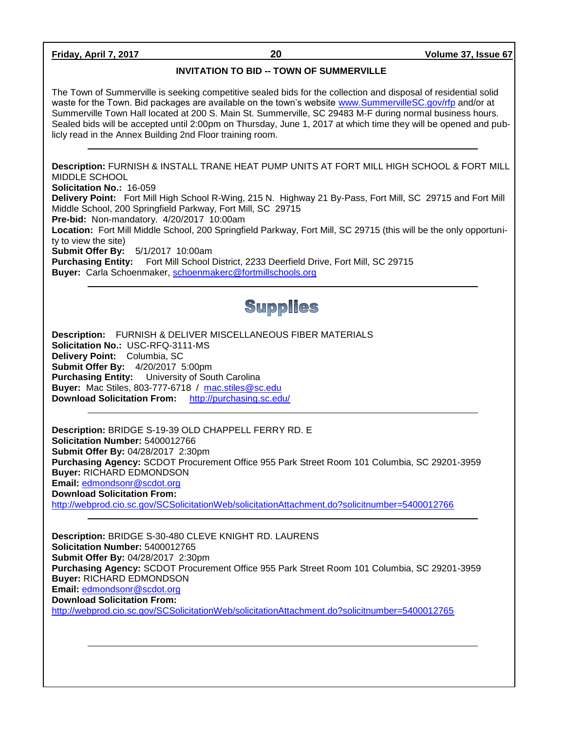**Friday, April 7, 2017 20 Volume 37, Issue 67**

# **INVITATION TO BID -- TOWN OF SUMMERVILLE**

The Town of Summerville is seeking competitive sealed bids for the collection and disposal of residential solid waste for the Town. Bid packages are available on the town's website [www.SummervilleSC.gov/rfp](http://www.summervillesc.gov/rfp) and/or at Summerville Town Hall located at 200 S. Main St. Summerville, SC 29483 M-F during normal business hours. Sealed bids will be accepted until 2:00pm on Thursday, June 1, 2017 at which time they will be opened and publicly read in the Annex Building 2nd Floor training room.

**Description:** FURNISH & INSTALL TRANE HEAT PUMP UNITS AT FORT MILL HIGH SCHOOL & FORT MILL MIDDLE SCHOOL **Solicitation No.:** 16-059

**Delivery Point:** Fort Mill High School R-Wing, 215 N. Highway 21 By-Pass, Fort Mill, SC 29715 and Fort Mill Middle School, 200 Springfield Parkway, Fort Mill, SC 29715

**Pre-bid:** Non-mandatory. 4/20/2017 10:00am

**Location:** Fort Mill Middle School, 200 Springfield Parkway, Fort Mill, SC 29715 (this will be the only opportunity to view the site)

**Submit Offer By:** 5/1/2017 10:00am

**Purchasing Entity:** Fort Mill School District, 2233 Deerfield Drive, Fort Mill, SC 29715 **Buyer:** Carla Schoenmaker, [schoenmakerc@fortmillschools.org](mailto:schoenmakerc@fortmillschools.org)

# **Supplies**

**Description:** FURNISH & DELIVER MISCELLANEOUS FIBER MATERIALS **Solicitation No.:** USC-RFQ-3111-MS **Delivery Point:** Columbia, SC **Submit Offer By:** 4/20/2017 5:00pm **Purchasing Entity:** University of South Carolina **Buyer:** Mac Stiles, 803-777-6718 / [mac.stiles@sc.edu](mailto:mac.stiles@sc.edu) **Download Solicitation From:** <http://purchasing.sc.edu/>

**Description:** BRIDGE S-19-39 OLD CHAPPELL FERRY RD. E **Solicitation Number:** 5400012766 **Submit Offer By:** 04/28/2017 2:30pm **Purchasing Agency:** SCDOT Procurement Office 955 Park Street Room 101 Columbia, SC 29201-3959 **Buyer:** RICHARD EDMONDSON **Email:** [edmondsonr@scdot.org](mailto:edmondsonr@scdot.org) **Download Solicitation From:**  <http://webprod.cio.sc.gov/SCSolicitationWeb/solicitationAttachment.do?solicitnumber=5400012766>

**Description:** BRIDGE S-30-480 CLEVE KNIGHT RD. LAURENS **Solicitation Number:** 5400012765 **Submit Offer By:** 04/28/2017 2:30pm **Purchasing Agency:** SCDOT Procurement Office 955 Park Street Room 101 Columbia, SC 29201-3959 **Buyer:** RICHARD EDMONDSON **Email:** [edmondsonr@scdot.org](mailto:edmondsonr@scdot.org) **Download Solicitation From:**  <http://webprod.cio.sc.gov/SCSolicitationWeb/solicitationAttachment.do?solicitnumber=5400012765>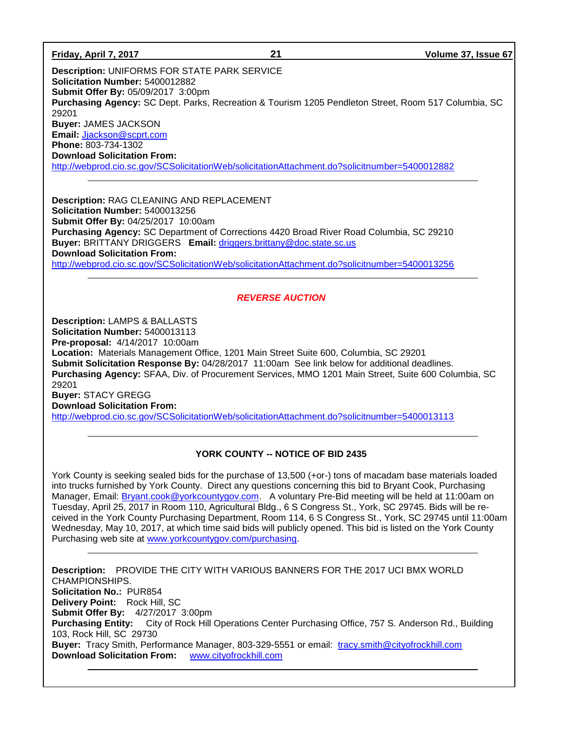**Friday, April 7, 2017 21 Volume 37, Issue 67 Description:** UNIFORMS FOR STATE PARK SERVICE **Solicitation Number:** 5400012882 **Submit Offer By:** 05/09/2017 3:00pm **Purchasing Agency:** SC Dept. Parks, Recreation & Tourism 1205 Pendleton Street, Room 517 Columbia, SC 29201 **Buyer:** JAMES JACKSON **Email:** [Jjackson@scprt.com](mailto:Jjackson@scprt.com) **Phone:** 803-734-1302 **Download Solicitation From:**  <http://webprod.cio.sc.gov/SCSolicitationWeb/solicitationAttachment.do?solicitnumber=5400012882>

**Description:** RAG CLEANING AND REPLACEMENT **Solicitation Number:** 5400013256 **Submit Offer By:** 04/25/2017 10:00am **Purchasing Agency:** SC Department of Corrections 4420 Broad River Road Columbia, SC 29210 **Buyer:** BRITTANY DRIGGERS **Email:** [driggers.brittany@doc.state.sc.us](mailto:driggers.brittany@doc.state.sc.us) **Download Solicitation From:**  <http://webprod.cio.sc.gov/SCSolicitationWeb/solicitationAttachment.do?solicitnumber=5400013256>

# *REVERSE AUCTION*

**Description:** LAMPS & BALLASTS

**Solicitation Number:** 5400013113

**Pre-proposal:** 4/14/2017 10:00am

**Location:** Materials Management Office, 1201 Main Street Suite 600, Columbia, SC 29201 **Submit Solicitation Response By:** 04/28/2017 11:00am See link below for additional deadlines. **Purchasing Agency:** SFAA, Div. of Procurement Services, MMO 1201 Main Street, Suite 600 Columbia, SC 29201

**Buyer:** STACY GREGG **Download Solicitation From:** 

<http://webprod.cio.sc.gov/SCSolicitationWeb/solicitationAttachment.do?solicitnumber=5400013113>

# **YORK COUNTY -- NOTICE OF BID 2435**

York County is seeking sealed bids for the purchase of 13,500 (+or-) tons of macadam base materials loaded into trucks furnished by York County. Direct any questions concerning this bid to Bryant Cook, Purchasing Manager, Email: [Bryant.cook@yorkcountygov.com.](mailto:Bryant.cook@yorkcountygov.com) A voluntary Pre-Bid meeting will be held at 11:00am on Tuesday, April 25, 2017 in Room 110, Agricultural Bldg., 6 S Congress St., York, SC 29745. Bids will be received in the York County Purchasing Department, Room 114, 6 S Congress St., York, SC 29745 until 11:00am Wednesday, May 10, 2017, at which time said bids will publicly opened. This bid is listed on the York County Purchasing web site at [www.yorkcountygov.com/purchasing.](http://www.yorkcountygov.com/purchasing)

**Description:** PROVIDE THE CITY WITH VARIOUS BANNERS FOR THE 2017 UCI BMX WORLD CHAMPIONSHIPS. **Solicitation No.:** PUR854 **Delivery Point:** Rock Hill, SC **Submit Offer By:** 4/27/2017 3:00pm **Purchasing Entity:** City of Rock Hill Operations Center Purchasing Office, 757 S. Anderson Rd., Building 103, Rock Hill, SC 29730 **Buyer:** Tracy Smith, Performance Manager, 803-329-5551 or email: [tracy.smith@cityofrockhill.com](mailto:tracy.smith@cityofrockhill.com) **Download Solicitation From:** [www.cityofrockhill.com](http://www.cityofrockhill.com/)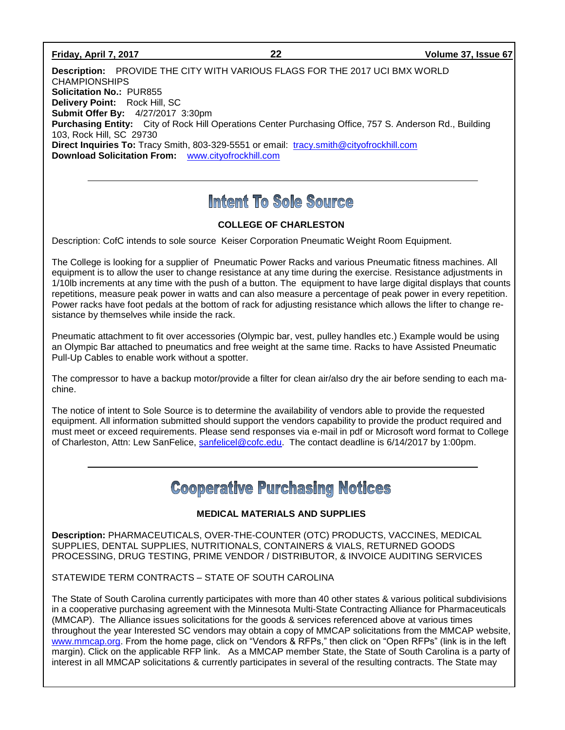## **Friday, April 7, 2017 22 Volume 37, Issue 67**

**Description:** PROVIDE THE CITY WITH VARIOUS FLAGS FOR THE 2017 UCI BMX WORLD CHAMPIONSHIPS **Solicitation No.:** PUR855 **Delivery Point:** Rock Hill, SC **Submit Offer By:** 4/27/2017 3:30pm **Purchasing Entity:** City of Rock Hill Operations Center Purchasing Office, 757 S. Anderson Rd., Building 103, Rock Hill, SC 29730 **Direct Inquiries To:** Tracy Smith, 803-329-5551 or email: [tracy.smith@cityofrockhill.com](mailto:tracy.smith@cityofrockhill.com) **Download Solicitation From:** [www.cityofrockhill.com](http://www.cityofrockhill.com/)

# Intent To Sole Source

# **COLLEGE OF CHARLESTON**

Description: CofC intends to sole source Keiser Corporation Pneumatic Weight Room Equipment.

The College is looking for a supplier of Pneumatic Power Racks and various Pneumatic fitness machines. All equipment is to allow the user to change resistance at any time during the exercise. Resistance adjustments in 1/10lb increments at any time with the push of a button. The equipment to have large digital displays that counts repetitions, measure peak power in watts and can also measure a percentage of peak power in every repetition. Power racks have foot pedals at the bottom of rack for adjusting resistance which allows the lifter to change resistance by themselves while inside the rack.

Pneumatic attachment to fit over accessories (Olympic bar, vest, pulley handles etc.) Example would be using an Olympic Bar attached to pneumatics and free weight at the same time. Racks to have Assisted Pneumatic Pull-Up Cables to enable work without a spotter.

The compressor to have a backup motor/provide a filter for clean air/also dry the air before sending to each machine.

The notice of intent to Sole Source is to determine the availability of vendors able to provide the requested equipment. All information submitted should support the vendors capability to provide the product required and must meet or exceed requirements. Please send responses via e-mail in pdf or Microsoft word format to College of Charleston, Attn: Lew SanFelice, [sanfelicel@cofc.edu.](mailto:sanfelicel@cofc.edu) The contact deadline is 6/14/2017 by 1:00pm.

# **Cooperative Purchasing Notices**

# **MEDICAL MATERIALS AND SUPPLIES**

**Description:** PHARMACEUTICALS, OVER-THE-COUNTER (OTC) PRODUCTS, VACCINES, MEDICAL SUPPLIES, DENTAL SUPPLIES, NUTRITIONALS, CONTAINERS & VIALS, RETURNED GOODS PROCESSING, DRUG TESTING, PRIME VENDOR / DISTRIBUTOR, & INVOICE AUDITING SERVICES

STATEWIDE TERM CONTRACTS – STATE OF SOUTH CAROLINA

The State of South Carolina currently participates with more than 40 other states & various political subdivisions in a cooperative purchasing agreement with the Minnesota Multi-State Contracting Alliance for Pharmaceuticals (MMCAP). The Alliance issues solicitations for the goods & services referenced above at various times throughout the year Interested SC vendors may obtain a copy of MMCAP solicitations from the MMCAP website, [www.mmcap.org.](http://www.mmcap.org/) From the home page, click on "Vendors & RFPs," then click on "Open RFPs" (link is in the left margin). Click on the applicable RFP link. As a MMCAP member State, the State of South Carolina is a party of interest in all MMCAP solicitations & currently participates in several of the resulting contracts. The State may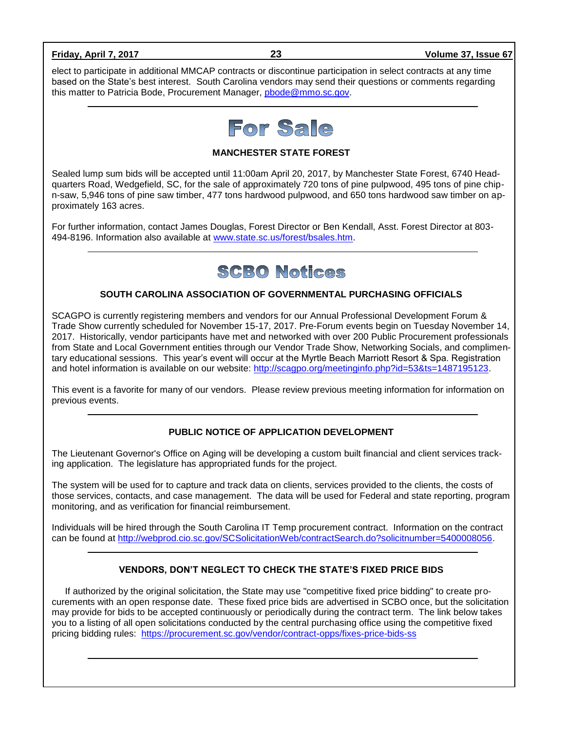elect to participate in additional MMCAP contracts or discontinue participation in select contracts at any time based on the State's best interest. South Carolina vendors may send their questions or comments regarding this matter to Patricia Bode, Procurement Manager, [pbode@mmo.sc.gov.](mailto:pbode@mmo.sc.gov)



**MANCHESTER STATE FOREST**

Sealed lump sum bids will be accepted until 11:00am April 20, 2017, by Manchester State Forest, 6740 Headquarters Road, Wedgefield, SC, for the sale of approximately 720 tons of pine pulpwood, 495 tons of pine chipn-saw, 5,946 tons of pine saw timber, 477 tons hardwood pulpwood, and 650 tons hardwood saw timber on approximately 163 acres.

For further information, contact James Douglas, Forest Director or Ben Kendall, Asst. Forest Director at 803- 494-8196. Information also available at [www.state.sc.us/forest/bsales.htm.](http://www.state.sc.us/forest/bsales.htm)

# **SCBO Notices**

# **SOUTH CAROLINA ASSOCIATION OF GOVERNMENTAL PURCHASING OFFICIALS**

SCAGPO is currently registering members and vendors for our Annual Professional Development Forum & Trade Show currently scheduled for November 15-17, 2017. Pre-Forum events begin on Tuesday November 14, 2017. Historically, vendor participants have met and networked with over 200 Public Procurement professionals from State and Local Government entities through our Vendor Trade Show, Networking Socials, and complimentary educational sessions. This year's event will occur at the Myrtle Beach Marriott Resort & Spa. Registration and hotel information is available on our website: [http://scagpo.org/meetinginfo.php?id=53&ts=1487195123.](http://scagpo.org/meetinginfo.php?id=53&ts=1487195123)

This event is a favorite for many of our vendors. Please review previous meeting information for information on previous events.

# **PUBLIC NOTICE OF APPLICATION DEVELOPMENT**

The Lieutenant Governor's Office on Aging will be developing a custom built financial and client services tracking application. The legislature has appropriated funds for the project.

The system will be used for to capture and track data on clients, services provided to the clients, the costs of those services, contacts, and case management. The data will be used for Federal and state reporting, program monitoring, and as verification for financial reimbursement.

Individuals will be hired through the South Carolina IT Temp procurement contract. Information on the contract can be found at [http://webprod.cio.sc.gov/SCSolicitationWeb/contractSearch.do?solicitnumber=5400008056.](http://webprod.cio.sc.gov/SCSolicitationWeb/contractSearch.do?solicitnumber=5400008056)

## **VENDORS, DON'T NEGLECT TO CHECK THE STATE'S FIXED PRICE BIDS**

If authorized by the original solicitation, the State may use "competitive fixed price bidding" to create procurements with an open response date. These fixed price bids are advertised in SCBO once, but the solicitation may provide for bids to be accepted continuously or periodically during the contract term. The link below takes you to a listing of all open solicitations conducted by the central purchasing office using the competitive fixed pricing bidding rules: <https://procurement.sc.gov/vendor/contract-opps/fixes-price-bids-ss>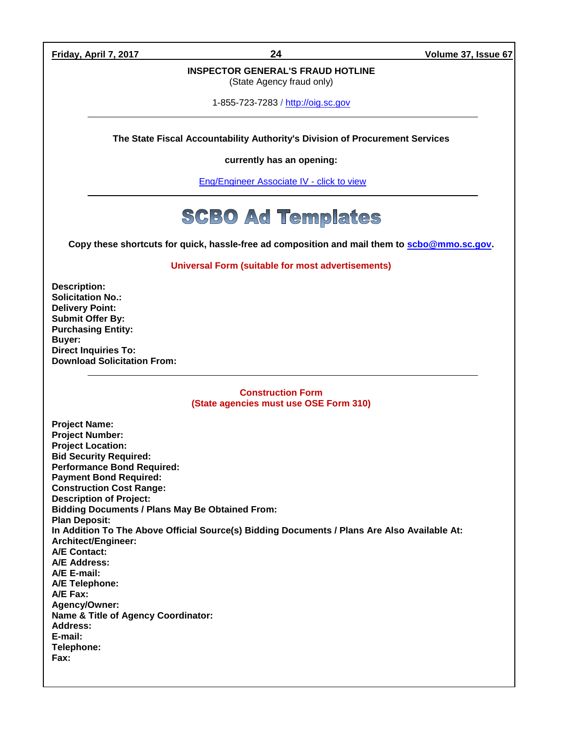**Friday, April 7, 2017 24 Volume 37, Issue 67**

# **INSPECTOR GENERAL'S FRAUD HOTLINE**

(State Agency fraud only)

1-855-723-7283 / [http://oig.sc.gov](http://oig.sc.gov/)

**The State Fiscal Accountability Authority's Division of Procurement Services** 

**currently has an opening:**

[Eng/Engineer Associate IV -](http://agency.governmentjobs.com/sc/default.cfm?action=viewJob&jobID=1632757&hit_count=yes&headerFooter=1&promo=0&transfer=0&WDDXJobSearchParams=%3CwddxPacket%20version%3D%271%2E0%27%3E%3Cheader%2F%3E%3Cdata%3E%3Cstruct%3E%3Cvar%20name%3D%27TRANSFER%27%3E%3Cstring%3E0%3C%2Fstring%3E%3C%2Fvar%3E%3Cvar%20name%3D%27CATEGORYID%27%3E%3Cstring%3E-1%3C%2Fstring%3E%3C%2Fvar%3E%3Cvar%20name%3D%27FIND_KEYWORD%27%3E%3Cstring%3E%3C%2Fstring%3E%3C%2Fvar%3E%3Cvar%20name%3D%27PROMOTIONALJOBS%27%3E%3Cstring%3E0%3C%2Fstring%3E%3C%2Fvar%3E%3C%2Fstruct%3E%3C%2Fdata%3E%3C%2FwddxPacket%3E) click to view

# **SCBO Ad Templates**

**Copy these shortcuts for quick, hassle-free ad composition and mail them to [scbo@mmo.sc.gov.](mailto:scbo@mmo.sc.gov)** 

**Universal Form (suitable for most advertisements)**

**Description: Solicitation No.: Delivery Point: Submit Offer By: Purchasing Entity: Buyer: Direct Inquiries To: Download Solicitation From:**

## **Construction Form (State agencies must use OSE Form 310)**

**Project Name: Project Number: Project Location: Bid Security Required: Performance Bond Required: Payment Bond Required: Construction Cost Range: Description of Project: Bidding Documents / Plans May Be Obtained From: Plan Deposit: In Addition To The Above Official Source(s) Bidding Documents / Plans Are Also Available At: Architect/Engineer: A/E Contact: A/E Address: A/E E-mail: A/E Telephone: A/E Fax: Agency/Owner: Name & Title of Agency Coordinator: Address: E-mail: Telephone: Fax:**